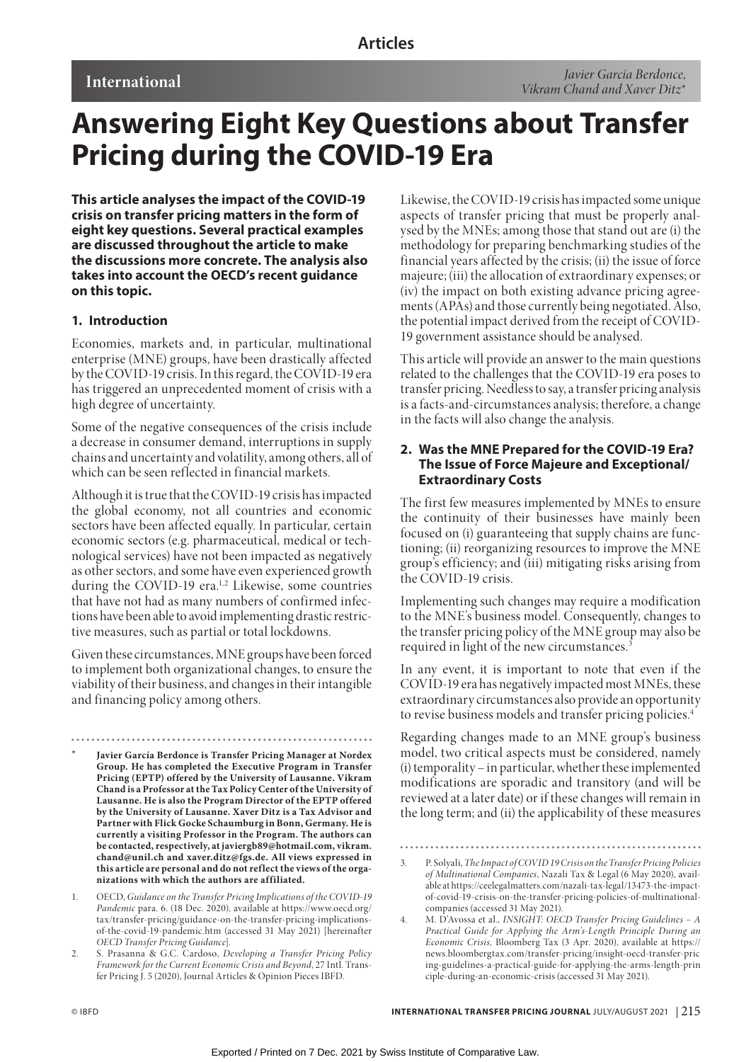# **Answering Eight Key Questions about Transfer Pricing during the COVID-19 Era**

**This article analyses the impact of the COVID-19 crisis on transfer pricing matters in the form of eight key questions. Several practical examples are discussed throughout the article to make the discussions more concrete. The analysis also takes into account the OECD's recent guidance on this topic.**

# **1. Introduction**

Economies, markets and, in particular, multinational enterprise (MNE) groups, have been drastically affected by the COVID-19 crisis. In this regard, the COVID-19 era has triggered an unprecedented moment of crisis with a high degree of uncertainty.

Some of the negative consequences of the crisis include a decrease in consumer demand, interruptions in supply chains and uncertainty and volatility, among others, all of which can be seen reflected in financial markets.

Although it is true that the COVID-19 crisis has impacted the global economy, not all countries and economic sectors have been affected equally. In particular, certain economic sectors (e.g. pharmaceutical, medical or technological services) have not been impacted as negatively as other sectors, and some have even experienced growth during the COVID-19 era.<sup>1,2</sup> Likewise, some countries that have not had as many numbers of confirmed infections have been able to avoid implementing drastic restrictive measures, such as partial or total lockdowns.

Given these circumstances, MNE groups have been forced to implement both organizational changes, to ensure the viability of their business, and changes in their intangible and financing policy among others.

- **\* Javier García Berdonce is Transfer Pricing Manager at Nordex Group. He has completed the Executive Program in Transfer Pricing (EPTP) offered by the University of Lausanne. Vikram Chand is a Professor at the Tax Policy Center of the University of Lausanne. He is also the Program Director of the EPTP offered by the University of Lausanne. Xaver Ditz is a Tax Advisor and Partner with Flick Gocke Schaumburg in Bonn, Germany. He is currently a visiting Professor in the Program. The authors can be contacted, respectively, at javiergb89@hotmail.com, vikram. chand@unil.ch and xaver.ditz@fgs.de. All views expressed in this article are personal and do not reflect the views of the organizations with which the authors are affiliated.**
- 1. OECD, *Guidance on the Transfer Pricing Implications of the COVID-19 Pandemic* para. 6. (18 Dec. 2020), available at https://www.oecd.org/ tax/transfer-pricing/guidance-on-the-transfer-pricing-implicationsof-the-covid-19-pandemic.htm (accessed 31 May 2021) [hereinafter *OECD Transfer Pricing Guidance*].
- 2. S. Prasanna & G.C. Cardoso, *Developing a Transfer Pricing Policy Framework for the Current Economic Crisis and Beyond*, 27 Intl. Transfer Pricing J. 5 (2020), Journal Articles & Opinion Pieces IBFD.

Likewise, the COVID-19 crisis has impacted some unique aspects of transfer pricing that must be properly analysed by the MNEs; among those that stand out are (i) the methodology for preparing benchmarking studies of the financial years affected by the crisis; (ii) the issue of force majeure; (iii) the allocation of extraordinary expenses; or (iv) the impact on both existing advance pricing agreements (APAs) and those currently being negotiated. Also, the potential impact derived from the receipt of COVID-19 government assistance should be analysed.

This article will provide an answer to the main questions related to the challenges that the COVID-19 era poses to transfer pricing. Needless to say, a transfer pricing analysis is a facts-and-circumstances analysis; therefore, a change in the facts will also change the analysis.

# **2. Was the MNE Prepared for the COVID-19 Era? The Issue of Force Majeure and Exceptional/ Extraordinary Costs**

The first few measures implemented by MNEs to ensure the continuity of their businesses have mainly been focused on (i) guaranteeing that supply chains are functioning; (ii) reorganizing resources to improve the MNE group's efficiency; and (iii) mitigating risks arising from the COVID-19 crisis.

Implementing such changes may require a modification to the MNE's business model. Consequently, changes to the transfer pricing policy of the MNE group may also be required in light of the new circumstances.<sup>3</sup>

In any event, it is important to note that even if the COVID-19 era has negatively impacted most MNEs, these extraordinary circumstances also provide an opportunity to revise business models and transfer pricing policies.<sup>4</sup>

Regarding changes made to an MNE group's business model, two critical aspects must be considered, namely (i) temporality – in particular, whether these implemented modifications are sporadic and transitory (and will be reviewed at a later date) or if these changes will remain in the long term; and (ii) the applicability of these measures

<sup>3.</sup> P. Solyali, *The Impact of COVID 19 Crisis on the Transfer Pricing Policies of Multinational Companies*, Nazali Tax & Legal (6 May 2020), available at https://ceelegalmatters.com/nazali-tax-legal/13473-the-impactof-covid-19-crisis-on-the-transfer-pricing-policies-of-multinationalcompanies (accessed 31 May 2021).

<sup>4.</sup> M. D'Avossa et al., *INSIGHT: OECD Transfer Pricing Guidelines – A Practical Guide for Applying the Arm's-Length Principle During an Economic Crisis*, Bloomberg Tax (3 Apr. 2020), available at https:// news.bloombergtax.com/transfer-pricing/insight-oecd-transfer-pric ing-guidelines-a-practical-guide-for-applying-the-arms-length-prin ciple-during-an-economic-crisis (accessed 31 May 2021).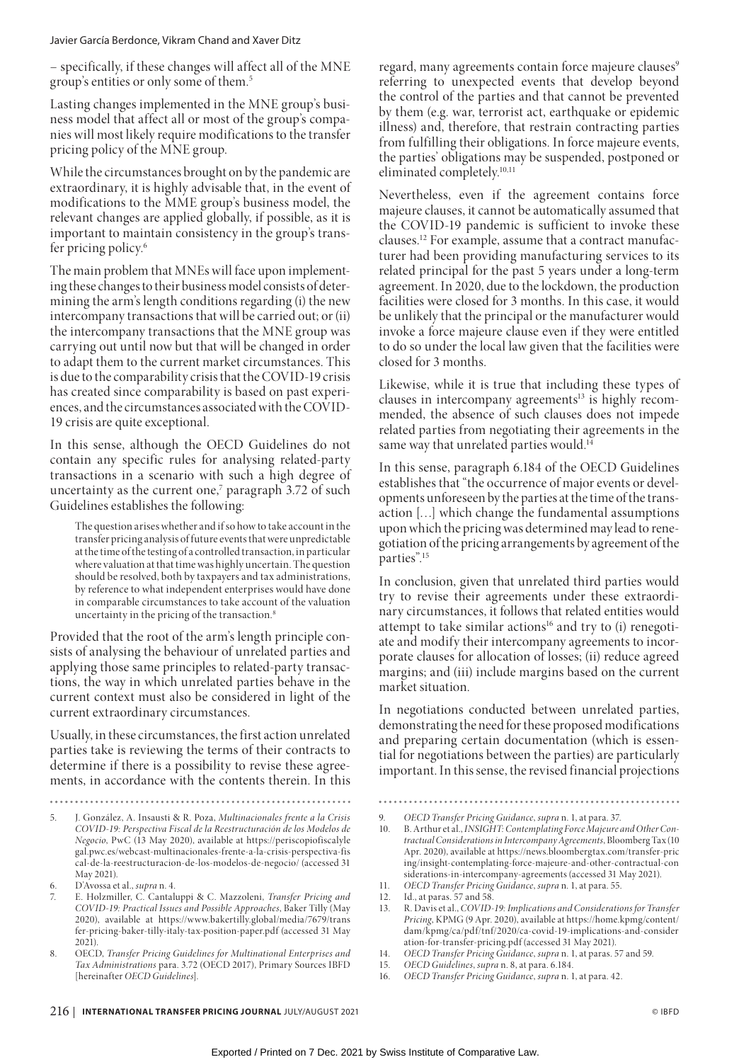– specifically, if these changes will affect all of the MNE group's entities or only some of them.5

Lasting changes implemented in the MNE group's business model that affect all or most of the group's companies will most likely require modifications to the transfer pricing policy of the MNE group.

While the circumstances brought on by the pandemic are extraordinary, it is highly advisable that, in the event of modifications to the MME group's business model, the relevant changes are applied globally, if possible, as it is important to maintain consistency in the group's transfer pricing policy.6

The main problem that MNEs will face upon implementing these changes to their business model consists of determining the arm's length conditions regarding (i) the new intercompany transactions that will be carried out; or (ii) the intercompany transactions that the MNE group was carrying out until now but that will be changed in order to adapt them to the current market circumstances. This is due to the comparability crisis that the COVID-19 crisis has created since comparability is based on past experiences, and the circumstances associated with the COVID-19 crisis are quite exceptional.

In this sense, although the OECD Guidelines do not contain any specific rules for analysing related-party transactions in a scenario with such a high degree of uncertainty as the current one,<sup>7</sup> paragraph 3.72 of such Guidelines establishes the following:

The question arises whether and if so how to take account in the transfer pricing analysis of future events that were unpredictable at the time of the testing of a controlled transaction, in particular where valuation at that time was highly uncertain. The question should be resolved, both by taxpayers and tax administrations, by reference to what independent enterprises would have done in comparable circumstances to take account of the valuation uncertainty in the pricing of the transaction.<sup>8</sup>

Provided that the root of the arm's length principle consists of analysing the behaviour of unrelated parties and applying those same principles to related-party transactions, the way in which unrelated parties behave in the current context must also be considered in light of the current extraordinary circumstances.

Usually, in these circumstances, the first action unrelated parties take is reviewing the terms of their contracts to determine if there is a possibility to revise these agreements, in accordance with the contents therein. In this

 $\sim$   $\sim$   $\sim$ 

- 5. J. González, A. Insausti & R. Poza, *Multinacionales frente a la Crisis COVID-19: Perspectiva Fiscal de la Reestructuración de los Modelos de Negocio*, PwC (13 May 2020), available at https://periscopiofiscalyle gal.pwc.es/webcast-multinacionales-frente-a-la-crisis-perspectiva-fis cal-de-la-reestructuracion-de-los-modelos-de-negocio/ (accessed 31 May 2021).
- 6. D'Avossa et al., *supra* n. 4.
- 7. E. Holzmiller, C. Cantaluppi & C. Mazzoleni, *Transfer Pricing and COVID-19: Practical Issues and Possible Approaches*, Baker Tilly (May 2020), available at https://www.bakertilly.global/media/7679/trans fer-pricing-baker-tilly-italy-tax-position-paper.pdf (accessed 31 May 2021).
- 8. OECD, *Transfer Pricing Guidelines for Multinational Enterprises and Tax Administrations* para. 3.72 (OECD 2017), Primary Sources IBFD [hereinafter *OECD Guidelines*].

regard, many agreements contain force majeure clauses<sup>9</sup> referring to unexpected events that develop beyond the control of the parties and that cannot be prevented by them (e.g. war, terrorist act, earthquake or epidemic illness) and, therefore, that restrain contracting parties from fulfilling their obligations. In force majeure events, the parties' obligations may be suspended, postponed or eliminated completely.<sup>10,11</sup>

Nevertheless, even if the agreement contains force majeure clauses, it cannot be automatically assumed that the COVID-19 pandemic is sufficient to invoke these clauses.12 For example, assume that a contract manufacturer had been providing manufacturing services to its related principal for the past 5 years under a long-term agreement. In 2020, due to the lockdown, the production facilities were closed for 3 months. In this case, it would be unlikely that the principal or the manufacturer would invoke a force majeure clause even if they were entitled to do so under the local law given that the facilities were closed for 3 months.

Likewise, while it is true that including these types of clauses in intercompany agreements<sup>13</sup> is highly recommended, the absence of such clauses does not impede related parties from negotiating their agreements in the same way that unrelated parties would.<sup>14</sup>

In this sense, paragraph 6.184 of the OECD Guidelines establishes that "the occurrence of major events or developments unforeseen by the parties at the time of the transaction […] which change the fundamental assumptions upon which the pricing was determined may lead to renegotiation of the pricing arrangements by agreement of the parties".15

In conclusion, given that unrelated third parties would try to revise their agreements under these extraordinary circumstances, it follows that related entities would attempt to take similar actions<sup>16</sup> and try to (i) renegotiate and modify their intercompany agreements to incorporate clauses for allocation of losses; (ii) reduce agreed margins; and (iii) include margins based on the current market situation.

In negotiations conducted between unrelated parties, demonstrating the need for these proposed modifications and preparing certain documentation (which is essential for negotiations between the parties) are particularly important. In this sense, the revised financial projections

13. R. Davis et al., *COVID-19: Implications and Considerations for Transfer Pricing*, KPMG (9 Apr. 2020), available at https://home.kpmg/content/ dam/kpmg/ca/pdf/tnf/2020/ca-covid-19-implications-and-consider ation-for-transfer-pricing.pdf (accessed 31 May 2021).

<sup>9.</sup> *OECD Transfer Pricing Guidance*, *supra* n. 1, at para. 37.

<sup>10.</sup> B. Arthur et al., *INSIGHT: Contemplating Force Majeure and Other Contractual Considerations in Intercompany Agreements*, Bloomberg Tax (10 Apr. 2020), available at https://news.bloombergtax.com/transfer-pric ing/insight-contemplating-force-majeure-and-other-contractual-con siderations-in-intercompany-agreements (accessed 31 May 2021).

<sup>11.</sup> *OECD Transfer Pricing Guidance*, *supra* n. 1, at para. 55.

<sup>12.</sup> Id., at paras. 57 and 58.

<sup>14.</sup> *OECD Transfer Pricing Guidance*, *supra* n. 1, at paras. 57 and 59.

<sup>15.</sup> *OECD Guidelines*, *supra* n. 8, at para. 6.184.

<sup>16.</sup> *OECD Transfer Pricing Guidance*, *supra* n. 1, at para. 42.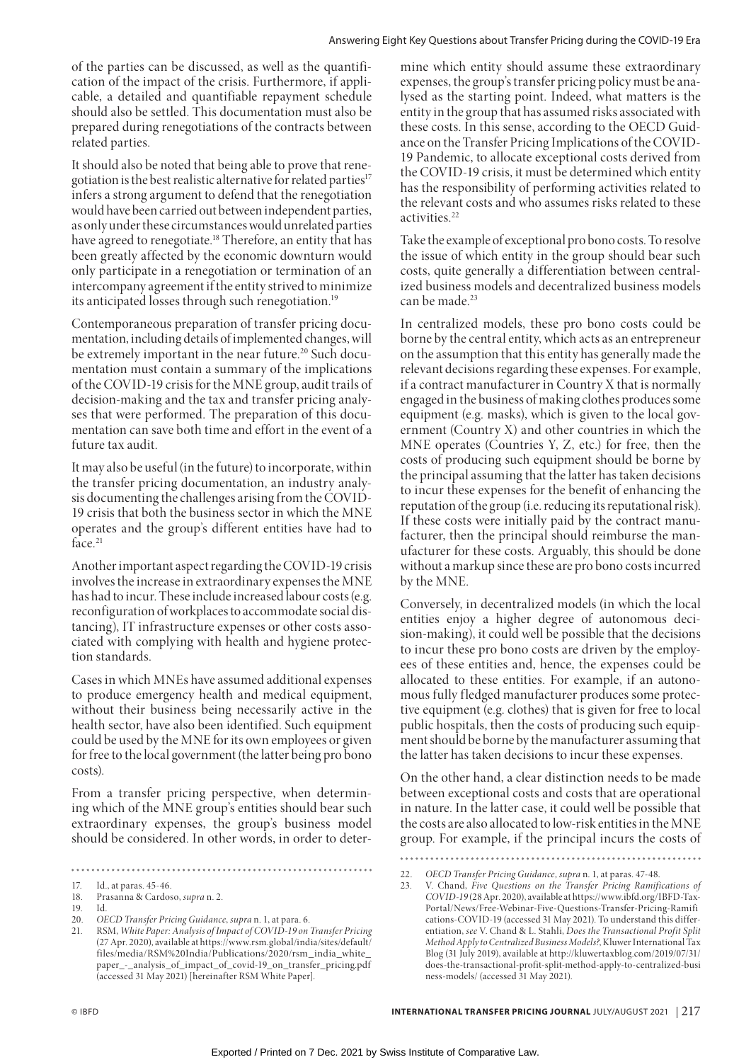of the parties can be discussed, as well as the quantification of the impact of the crisis. Furthermore, if applicable, a detailed and quantifiable repayment schedule should also be settled. This documentation must also be prepared during renegotiations of the contracts between related parties.

It should also be noted that being able to prove that renegotiation is the best realistic alternative for related parties<sup>17</sup> infers a strong argument to defend that the renegotiation would have been carried out between independent parties, as only under these circumstances would unrelated parties have agreed to renegotiate.<sup>18</sup> Therefore, an entity that has been greatly affected by the economic downturn would only participate in a renegotiation or termination of an intercompany agreement if the entity strived to minimize its anticipated losses through such renegotiation.19

Contemporaneous preparation of transfer pricing documentation, including details of implemented changes, will be extremely important in the near future.<sup>20</sup> Such documentation must contain a summary of the implications of the COVID-19 crisis for the MNE group, audit trails of decision-making and the tax and transfer pricing analyses that were performed. The preparation of this documentation can save both time and effort in the event of a future tax audit.

It may also be useful (in the future) to incorporate, within the transfer pricing documentation, an industry analysis documenting the challenges arising from the COVID-19 crisis that both the business sector in which the MNE operates and the group's different entities have had to face.<sup>21</sup>

Another important aspect regarding the COVID-19 crisis involves the increase in extraordinary expenses the MNE has had to incur. These include increased labour costs (e.g. reconfiguration of workplaces to accommodate social distancing), IT infrastructure expenses or other costs associated with complying with health and hygiene protection standards.

Cases in which MNEs have assumed additional expenses to produce emergency health and medical equipment, without their business being necessarily active in the health sector, have also been identified. Such equipment could be used by the MNE for its own employees or given for free to the local government (the latter being pro bono costs).

From a transfer pricing perspective, when determining which of the MNE group's entities should bear such extraordinary expenses, the group's business model should be considered. In other words, in order to deter-

mine which entity should assume these extraordinary expenses, the group's transfer pricing policy must be analysed as the starting point. Indeed, what matters is the entity in the group that has assumed risks associated with these costs. In this sense, according to the OECD Guidance on the Transfer Pricing Implications of the COVID-19 Pandemic, to allocate exceptional costs derived from the COVID-19 crisis, it must be determined which entity has the responsibility of performing activities related to the relevant costs and who assumes risks related to these activities.<sup>22</sup>

Take the example of exceptional pro bono costs. To resolve the issue of which entity in the group should bear such costs, quite generally a differentiation between centralized business models and decentralized business models can be made.<sup>23</sup>

In centralized models, these pro bono costs could be borne by the central entity, which acts as an entrepreneur on the assumption that this entity has generally made the relevant decisions regarding these expenses. For example, if a contract manufacturer in Country X that is normally engaged in the business of making clothes produces some equipment (e.g. masks), which is given to the local government (Country X) and other countries in which the MNE operates (Countries Y, Z, etc.) for free, then the costs of producing such equipment should be borne by the principal assuming that the latter has taken decisions to incur these expenses for the benefit of enhancing the reputation of the group (i.e. reducing its reputational risk). If these costs were initially paid by the contract manufacturer, then the principal should reimburse the manufacturer for these costs. Arguably, this should be done without a markup since these are pro bono costs incurred by the MNE.

Conversely, in decentralized models (in which the local entities enjoy a higher degree of autonomous decision-making), it could well be possible that the decisions to incur these pro bono costs are driven by the employees of these entities and, hence, the expenses could be allocated to these entities. For example, if an autonomous fully fledged manufacturer produces some protective equipment (e.g. clothes) that is given for free to local public hospitals, then the costs of producing such equipment should be borne by the manufacturer assuming that the latter has taken decisions to incur these expenses.

On the other hand, a clear distinction needs to be made between exceptional costs and costs that are operational in nature. In the latter case, it could well be possible that the costs are also allocated to low-risk entities in the MNE group. For example, if the principal incurs the costs of

. . . . . . .

<sup>17.</sup> Id., at paras. 45-46.

<sup>18.</sup> Prasanna & Cardoso, *supra* n. 2.

<sup>19.</sup> Id.

<sup>20.</sup> *OECD Transfer Pricing Guidance*, *supra* n. 1, at para. 6.

<sup>21.</sup> RSM, *White Paper: Analysis of Impact of COVID-19 on Transfer Pricing* (27 Apr. 2020), available at https://www.rsm.global/india/sites/default/ files/media/RSM%20India/Publications/2020/rsm\_india\_white\_ paper\_-\_analysis\_of\_impact\_of\_covid-19\_on\_transfer\_pricing.pdf (accessed 31 May 2021) [hereinafter RSM White Paper].

<sup>22.</sup> *OECD Transfer Pricing Guidance*, *supra* n. 1, at paras. 47-48.

<sup>23.</sup> V. Chand, *Five Questions on the Transfer Pricing Ramifications of COVID-19* (28 Apr. 2020), available at https://www.ibfd.org/IBFD-Tax-Portal/News/Free-Webinar-Five-Questions-Transfer-Pricing-Ramifi cations-COVID-19 (accessed 31 May 2021). To understand this differentiation, *see* V. Chand & L. Stahli, *Does the Transactional Profit Split Method Apply to Centralized Business Models?*, Kluwer International Tax Blog (31 July 2019), available at http://kluwertaxblog.com/2019/07/31/ does-the-transactional-profit-split-method-apply-to-centralized-busi ness-models/ (accessed 31 May 2021).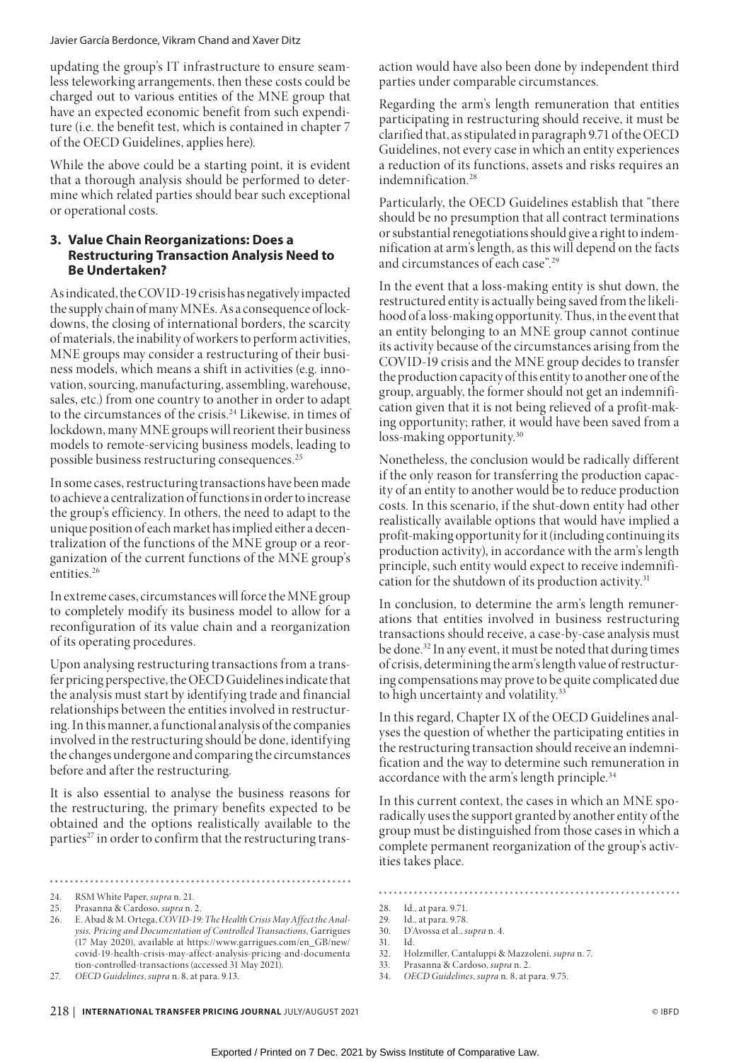updating the group's IT infrastructure to ensure seamless teleworking arrangements, then these costs could be charged out to various entities of the MNE group that have an expected economic benefit from such expenditure (i.e. the benefit test, which is contained in chapter 7 of the OECD Guidelines, applies here).

While the above could be a starting point, it is evident that a thorough analysis should be performed to determine which related parties should bear such exceptional or operational costs.

# **3. Value Chain Reorganizations: Does a Restructuring Transaction Analysis Need to Be Undertaken?**

As indicated, the COVID-19 crisis has negatively impacted the supply chain of many MNEs. As a consequence of lockdowns, the closing of international borders, the scarcity of materials, the inability of workers to perform activities, MNE groups may consider a restructuring of their business models, which means a shift in activities (e.g. innovation, sourcing, manufacturing, assembling, warehouse, sales, etc.) from one country to another in order to adapt to the circumstances of the crisis.24 Likewise, in times of lockdown, many MNE groups will reorient their business models to remote-servicing business models, leading to possible business restructuring consequences.25

In some cases, restructuring transactions have been made to achieve a centralization of functions in order to increase the group's efficiency. In others, the need to adapt to the unique position of each market has implied either a decentralization of the functions of the MNE group or a reorganization of the current functions of the MNE group's entities.<sup>26</sup>

In extreme cases, circumstances will force the MNE group to completely modify its business model to allow for a reconfiguration of its value chain and a reorganization of its operating procedures.

Upon analysing restructuring transactions from a transfer pricing perspective, the OECD Guidelines indicate that the analysis must start by identifying trade and financial relationships between the entities involved in restructuring. In this manner, a functional analysis of the companies involved in the restructuring should be done, identifying the changes undergone and comparing the circumstances before and after the restructuring.

It is also essential to analyse the business reasons for the restructuring, the primary benefits expected to be obtained and the options realistically available to the parties<sup>27</sup> in order to confirm that the restructuring trans-

24. RSM White Paper, *supra* n. 21.

27. *OECD Guidelines*, *supra* n. 8, at para. 9.13.

action would have also been done by independent third parties under comparable circumstances.

Regarding the arm's length remuneration that entities participating in restructuring should receive, it must be clarified that, as stipulated in paragraph 9.71 of the OECD Guidelines, not every case in which an entity experiences a reduction of its functions, assets and risks requires an indemnification.28

Particularly, the OECD Guidelines establish that "there should be no presumption that all contract terminations or substantial renegotiations should give a right to indemnification at arm's length, as this will depend on the facts and circumstances of each case".29

In the event that a loss-making entity is shut down, the restructured entity is actually being saved from the likelihood of a loss-making opportunity. Thus, in the event that an entity belonging to an MNE group cannot continue its activity because of the circumstances arising from the COVID-19 crisis and the MNE group decides to transfer the production capacity of this entity to another one of the group, arguably, the former should not get an indemnification given that it is not being relieved of a profit-making opportunity; rather, it would have been saved from a loss-making opportunity.<sup>30</sup>

Nonetheless, the conclusion would be radically different if the only reason for transferring the production capacity of an entity to another would be to reduce production costs. In this scenario, if the shut-down entity had other realistically available options that would have implied a profit-making opportunity for it (including continuing its production activity), in accordance with the arm's length principle, such entity would expect to receive indemnification for the shutdown of its production activity.<sup>31</sup>

In conclusion, to determine the arm's length remunerations that entities involved in business restructuring transactions should receive, a case-by-case analysis must be done.32 In any event, it must be noted that during times of crisis, determining the arm's length value of restructuring compensations may prove to be quite complicated due to high uncertainty and volatility.<sup>33</sup>

In this regard, Chapter IX of the OECD Guidelines analyses the question of whether the participating entities in the restructuring transaction should receive an indemnification and the way to determine such remuneration in accordance with the arm's length principle.<sup>34</sup>

In this current context, the cases in which an MNE sporadically uses the support granted by another entity of the group must be distinguished from those cases in which a complete permanent reorganization of the group's activities takes place.

28. Id., at para. 9.71.

- 32. Holzmiller, Cantaluppi & Mazzoleni, *supra* n. 7.
- 33. Prasanna & Cardoso, *supra* n. 2.
- 34. *OECD Guidelines*, *supra* n. 8, at para. 9.75.

<sup>25.</sup> Prasanna & Cardoso, *supra* n. 2.

<sup>26.</sup> E. Abad & M. Ortega, *COVID-19: The Health Crisis May Affect the Analysis, Pricing and Documentation of Controlled Transactions*, Garrigues (17 May 2020), available at https://www.garrigues.com/en\_GB/new/ covid-19-health-crisis-may-affect-analysis-pricing-and-documenta tion-controlled-transactions (accessed 31 May 2021).

<sup>29.</sup> Id., at para. 9.78.<br>30. D'Avossa et al., s 30. D'Avossa et al., *supra* n. 4.

<sup>31.</sup> Id.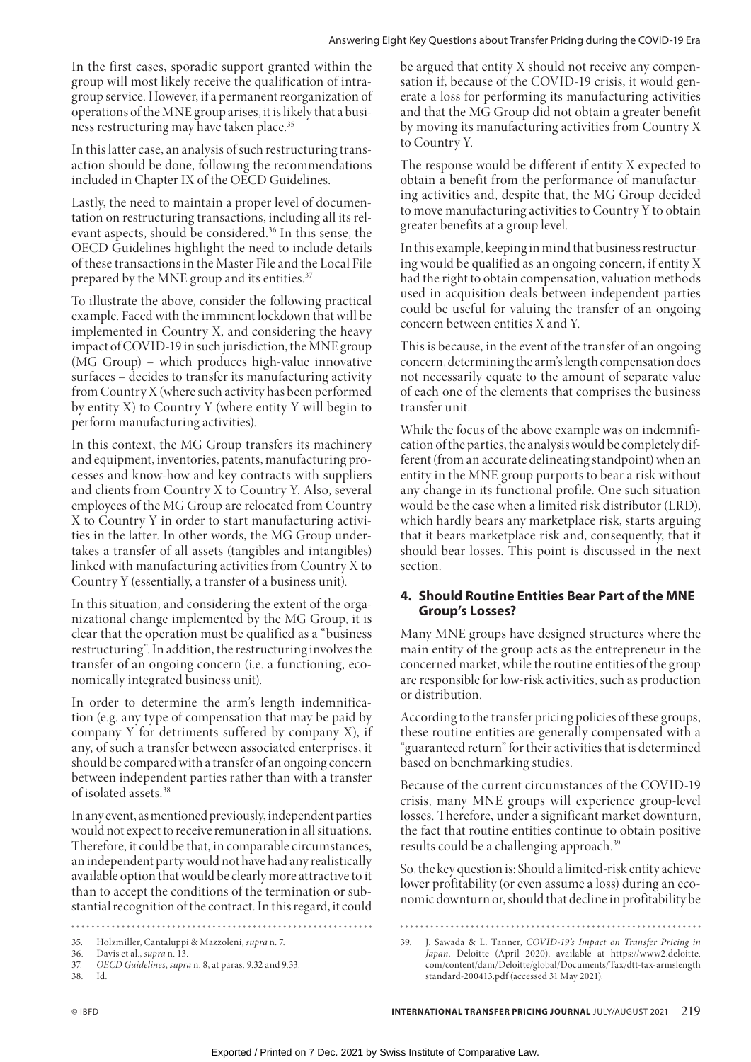In the first cases, sporadic support granted within the group will most likely receive the qualification of intragroup service. However, if a permanent reorganization of operations of the MNE group arises, it is likely that a business restructuring may have taken place.<sup>35</sup>

In this latter case, an analysis of such restructuring transaction should be done, following the recommendations included in Chapter IX of the OECD Guidelines.

Lastly, the need to maintain a proper level of documentation on restructuring transactions, including all its relevant aspects, should be considered.36 In this sense, the OECD Guidelines highlight the need to include details of these transactions in the Master File and the Local File prepared by the MNE group and its entities.<sup>37</sup>

To illustrate the above, consider the following practical example. Faced with the imminent lockdown that will be implemented in Country X, and considering the heavy impact of COVID-19 in such jurisdiction, the MNE group (MG Group) – which produces high-value innovative surfaces – decides to transfer its manufacturing activity from Country X (where such activity has been performed by entity X) to Country Y (where entity Y will begin to perform manufacturing activities).

In this context, the MG Group transfers its machinery and equipment, inventories, patents, manufacturing processes and know-how and key contracts with suppliers and clients from Country X to Country Y. Also, several employees of the MG Group are relocated from Country X to Country Y in order to start manufacturing activities in the latter. In other words, the MG Group undertakes a transfer of all assets (tangibles and intangibles) linked with manufacturing activities from Country X to Country Y (essentially, a transfer of a business unit).

In this situation, and considering the extent of the organizational change implemented by the MG Group, it is clear that the operation must be qualified as a "business restructuring". In addition, the restructuring involves the transfer of an ongoing concern (i.e. a functioning, economically integrated business unit).

In order to determine the arm's length indemnification (e.g. any type of compensation that may be paid by company Y for detriments suffered by company X), if any, of such a transfer between associated enterprises, it should be compared with a transfer of an ongoing concern between independent parties rather than with a transfer of isolated assets.38

In any event, as mentioned previously, independent parties would not expect to receive remuneration in all situations. Therefore, it could be that, in comparable circumstances, an independent party would not have had any realistically available option that would be clearly more attractive to it than to accept the conditions of the termination or substantial recognition of the contract. In this regard, it could be argued that entity X should not receive any compensation if, because of the COVID-19 crisis, it would generate a loss for performing its manufacturing activities and that the MG Group did not obtain a greater benefit by moving its manufacturing activities from Country X to Country Y.

The response would be different if entity X expected to obtain a benefit from the performance of manufacturing activities and, despite that, the MG Group decided to move manufacturing activities to Country Y to obtain greater benefits at a group level.

In this example, keeping in mind that business restructuring would be qualified as an ongoing concern, if entity X had the right to obtain compensation, valuation methods used in acquisition deals between independent parties could be useful for valuing the transfer of an ongoing concern between entities X and Y.

This is because, in the event of the transfer of an ongoing concern, determining the arm's length compensation does not necessarily equate to the amount of separate value of each one of the elements that comprises the business transfer unit.

While the focus of the above example was on indemnification of the parties, the analysis would be completely different (from an accurate delineating standpoint) when an entity in the MNE group purports to bear a risk without any change in its functional profile. One such situation would be the case when a limited risk distributor (LRD), which hardly bears any marketplace risk, starts arguing that it bears marketplace risk and, consequently, that it should bear losses. This point is discussed in the next section.

# **4. Should Routine Entities Bear Part of the MNE Group's Losses?**

Many MNE groups have designed structures where the main entity of the group acts as the entrepreneur in the concerned market, while the routine entities of the group are responsible for low-risk activities, such as production or distribution.

According to the transfer pricing policies of these groups, these routine entities are generally compensated with a "guaranteed return" for their activities that is determined based on benchmarking studies.

Because of the current circumstances of the COVID-19 crisis, many MNE groups will experience group-level losses. Therefore, under a significant market downturn, the fact that routine entities continue to obtain positive results could be a challenging approach.<sup>39</sup>

So, the key question is: Should a limited-risk entity achieve lower profitability (or even assume a loss) during an economic downturn or, should that decline in profitability be

<sup>. . . . . . . . . . . . . . . . .</sup>  $\overline{a}$ 

<sup>35.</sup> Holzmiller, Cantaluppi & Mazzoleni, *supra* n. 7.

<sup>36.</sup> Davis et al., *supra* n. 13.

<sup>37.</sup> *OECD Guidelines*, *supra* n. 8, at paras. 9.32 and 9.33.

<sup>38.</sup> Id.

<sup>39.</sup> J. Sawada & L. Tanner, *COVID-19's Impact on Transfer Pricing in Japan*, Deloitte (April 2020), available at https://www2.deloitte. com/content/dam/Deloitte/global/Documents/Tax/dtt-tax-armslength standard-200413.pdf (accessed 31 May 2021).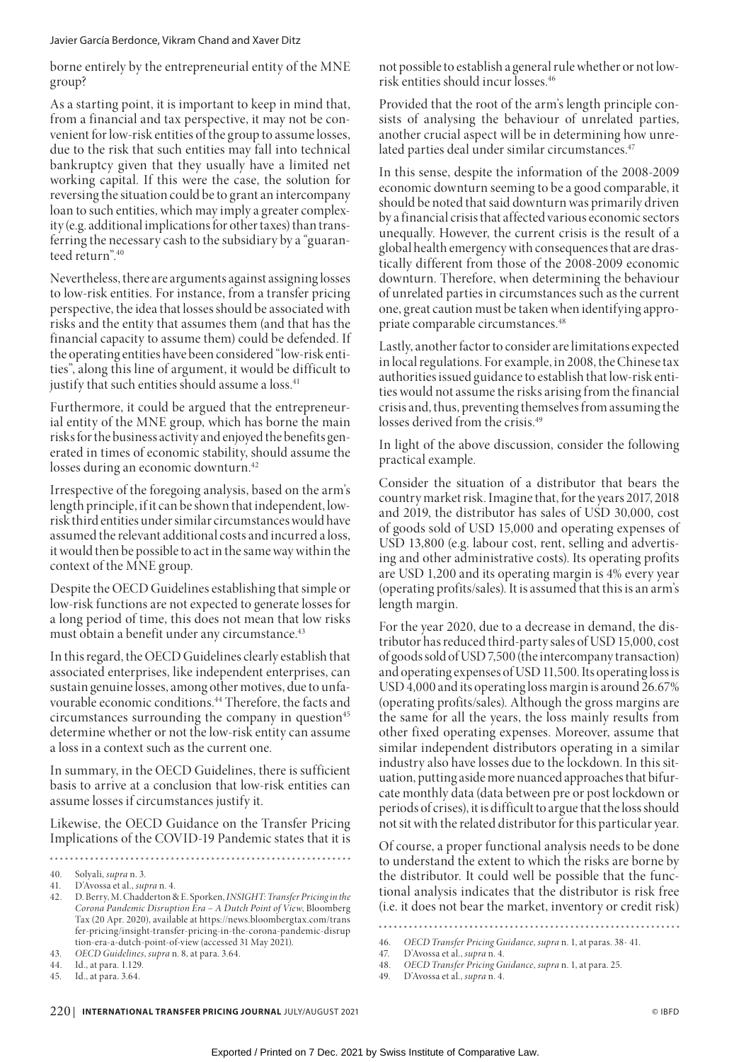borne entirely by the entrepreneurial entity of the MNE group?

As a starting point, it is important to keep in mind that, from a financial and tax perspective, it may not be convenient for low-risk entities of the group to assume losses, due to the risk that such entities may fall into technical bankruptcy given that they usually have a limited net working capital. If this were the case, the solution for reversing the situation could be to grant an intercompany loan to such entities, which may imply a greater complexity (e.g. additional implications for other taxes) than transferring the necessary cash to the subsidiary by a "guaranteed return".40

Nevertheless, there are arguments against assigning losses to low-risk entities. For instance, from a transfer pricing perspective, the idea that losses should be associated with risks and the entity that assumes them (and that has the financial capacity to assume them) could be defended. If the operating entities have been considered "low-risk entities", along this line of argument, it would be difficult to justify that such entities should assume a loss.<sup>41</sup>

Furthermore, it could be argued that the entrepreneurial entity of the MNE group, which has borne the main risks for the business activity and enjoyed the benefits generated in times of economic stability, should assume the losses during an economic downturn.<sup>42</sup>

Irrespective of the foregoing analysis, based on the arm's length principle, if it can be shown that independent, lowrisk third entities under similar circumstances would have assumed the relevant additional costs and incurred a loss, it would then be possible to act in the same way within the context of the MNE group.

Despite the OECD Guidelines establishing that simple or low-risk functions are not expected to generate losses for a long period of time, this does not mean that low risks must obtain a benefit under any circumstance.<sup>43</sup>

In this regard, the OECD Guidelines clearly establish that associated enterprises, like independent enterprises, can sustain genuine losses, among other motives, due to unfavourable economic conditions.44 Therefore, the facts and circumstances surrounding the company in question $45$ determine whether or not the low-risk entity can assume a loss in a context such as the current one.

In summary, in the OECD Guidelines, there is sufficient basis to arrive at a conclusion that low-risk entities can assume losses if circumstances justify it.

Likewise, the OECD Guidance on the Transfer Pricing Implications of the COVID-19 Pandemic states that it is

not possible to establish a general rule whether or not lowrisk entities should incur losses.46

Provided that the root of the arm's length principle consists of analysing the behaviour of unrelated parties, another crucial aspect will be in determining how unrelated parties deal under similar circumstances.<sup>47</sup>

In this sense, despite the information of the 2008-2009 economic downturn seeming to be a good comparable, it should be noted that said downturn was primarily driven by a financial crisis that affected various economic sectors unequally. However, the current crisis is the result of a global health emergency with consequences that are drastically different from those of the 2008-2009 economic downturn. Therefore, when determining the behaviour of unrelated parties in circumstances such as the current one, great caution must be taken when identifying appropriate comparable circumstances.48

Lastly, another factor to consider are limitations expected in local regulations. For example, in 2008, the Chinese tax authorities issued guidance to establish that low-risk entities would not assume the risks arising from the financial crisis and, thus, preventing themselves from assuming the losses derived from the crisis.<sup>49</sup>

In light of the above discussion, consider the following practical example.

Consider the situation of a distributor that bears the country market risk. Imagine that, for the years 2017, 2018 and 2019, the distributor has sales of USD 30,000, cost of goods sold of USD 15,000 and operating expenses of USD 13,800 (e.g. labour cost, rent, selling and advertising and other administrative costs). Its operating profits are USD 1,200 and its operating margin is 4% every year (operating profits/sales). It is assumed that this is an arm's length margin.

For the year 2020, due to a decrease in demand, the distributor has reduced third-party sales of USD 15,000, cost of goods sold of USD 7,500 (the intercompany transaction) and operating expenses of USD 11,500. Its operating loss is USD 4,000 and its operating loss margin is around 26.67% (operating profits/sales). Although the gross margins are the same for all the years, the loss mainly results from other fixed operating expenses. Moreover, assume that similar independent distributors operating in a similar industry also have losses due to the lockdown. In this situation, putting aside more nuanced approaches that bifurcate monthly data (data between pre or post lockdown or periods of crises), it is difficult to argue that the loss should not sit with the related distributor for this particular year.

Of course, a proper functional analysis needs to be done to understand the extent to which the risks are borne by the distributor. It could well be possible that the functional analysis indicates that the distributor is risk free (i.e. it does not bear the market, inventory or credit risk)

 $\ddot{\phantom{a}}$ 

<sup>40.</sup> Solyali, *supra* n. 3.

<sup>41.</sup> D'Avossa et al., *supra* n. 4.

<sup>42.</sup> D. Berry, M. Chadderton & E. Sporken, *INSIGHT: Transfer Pricing in the Corona Pandemic Disruption Era – A Dutch Point of View*, Bloomberg Tax (20 Apr. 2020), available at https://news.bloombergtax.com/trans fer-pricing/insight-transfer-pricing-in-the-corona-pandemic-disrup tion-era-a-dutch-point-of-view (accessed 31 May 2021).

<sup>43.</sup> *OECD Guidelines*, *supra* n. 8, at para. 3.64.

<sup>44.</sup> Id., at para. 1.129.

<sup>45.</sup> Id., at para. 3.64.

<sup>46.</sup> *OECD Transfer Pricing Guidance*, *supra* n. 1, at paras. 38- 41.

<sup>47.</sup> D'Avossa et al., *supra* n. 4.

<sup>48.</sup> *OECD Transfer Pricing Guidance*, *supra* n. 1, at para. 25.

<sup>49.</sup> D'Avossa et al., *supra* n. 4.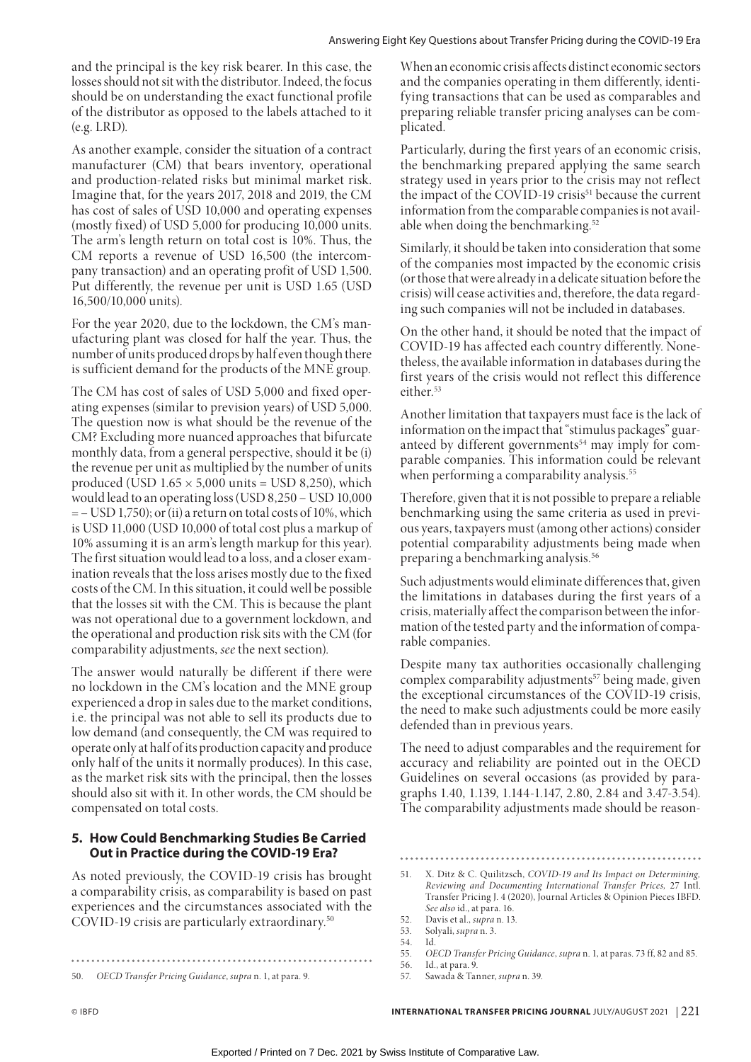and the principal is the key risk bearer. In this case, the losses should not sit with the distributor. Indeed, the focus should be on understanding the exact functional profile of the distributor as opposed to the labels attached to it (e.g. LRD).

As another example, consider the situation of a contract manufacturer (CM) that bears inventory, operational and production-related risks but minimal market risk. Imagine that, for the years 2017, 2018 and 2019, the CM has cost of sales of USD 10,000 and operating expenses (mostly fixed) of USD 5,000 for producing 10,000 units. The arm's length return on total cost is 10%. Thus, the CM reports a revenue of USD 16,500 (the intercompany transaction) and an operating profit of USD 1,500. Put differently, the revenue per unit is USD 1.65 (USD 16,500/10,000 units).

For the year 2020, due to the lockdown, the CM's manufacturing plant was closed for half the year. Thus, the number of units produced drops by half even though there is sufficient demand for the products of the MNE group.

The CM has cost of sales of USD 5,000 and fixed operating expenses (similar to prevision years) of USD 5,000. The question now is what should be the revenue of the CM? Excluding more nuanced approaches that bifurcate monthly data, from a general perspective, should it be (i) the revenue per unit as multiplied by the number of units produced (USD  $1.65 \times 5,000$  units = USD 8,250), which would lead to an operating loss (USD 8,250 – USD 10,000 = – USD 1,750); or (ii) a return on total costs of 10%, which is USD 11,000 (USD 10,000 of total cost plus a markup of 10% assuming it is an arm's length markup for this year). The first situation would lead to a loss, and a closer examination reveals that the loss arises mostly due to the fixed costs of the CM. In this situation, it could well be possible that the losses sit with the CM. This is because the plant was not operational due to a government lockdown, and the operational and production risk sits with the CM (for comparability adjustments, *see* the next section).

The answer would naturally be different if there were no lockdown in the CM's location and the MNE group experienced a drop in sales due to the market conditions, i.e. the principal was not able to sell its products due to low demand (and consequently, the CM was required to operate only at half of its production capacity and produce only half of the units it normally produces). In this case, as the market risk sits with the principal, then the losses should also sit with it. In other words, the CM should be compensated on total costs.

# **5. How Could Benchmarking Studies Be Carried Out in Practice during the COVID-19 Era?**

As noted previously, the COVID-19 crisis has brought a comparability crisis, as comparability is based on past experiences and the circumstances associated with the COVID-19 crisis are particularly extraordinary.50

When an economic crisis affects distinct economic sectors and the companies operating in them differently, identifying transactions that can be used as comparables and preparing reliable transfer pricing analyses can be complicated.

Particularly, during the first years of an economic crisis, the benchmarking prepared applying the same search strategy used in years prior to the crisis may not reflect the impact of the COVID-19 crisis<sup>51</sup> because the current information from the comparable companies is not available when doing the benchmarking.<sup>52</sup>

Similarly, it should be taken into consideration that some of the companies most impacted by the economic crisis (or those that were already in a delicate situation before the crisis) will cease activities and, therefore, the data regarding such companies will not be included in databases.

On the other hand, it should be noted that the impact of COVID-19 has affected each country differently. Nonetheless, the available information in databases during the first years of the crisis would not reflect this difference either.<sup>53</sup>

Another limitation that taxpayers must face is the lack of information on the impact that "stimulus packages" guaranteed by different governments $54$  may imply for comparable companies. This information could be relevant when performing a comparability analysis.<sup>55</sup>

Therefore, given that it is not possible to prepare a reliable benchmarking using the same criteria as used in previous years, taxpayers must (among other actions) consider potential comparability adjustments being made when preparing a benchmarking analysis.56

Such adjustments would eliminate differences that, given the limitations in databases during the first years of a crisis, materially affect the comparison between the information of the tested party and the information of comparable companies.

Despite many tax authorities occasionally challenging complex comparability adjustments<sup>57</sup> being made, given the exceptional circumstances of the COVID-19 crisis, the need to make such adjustments could be more easily defended than in previous years.

The need to adjust comparables and the requirement for accuracy and reliability are pointed out in the OECD Guidelines on several occasions (as provided by paragraphs 1.40, 1.139, 1.144-1.147, 2.80, 2.84 and 3.47-3.54). The comparability adjustments made should be reason-

54. Id.

<sup>50.</sup> *OECD Transfer Pricing Guidance*, *supra* n. 1, at para. 9.

<sup>51.</sup> X. Ditz & C. Quilitzsch, *COVID-19 and Its Impact on Determining, Reviewing and Documenting International Transfer Prices,* 27 Intl. Transfer Pricing J. 4 (2020), Journal Articles & Opinion Pieces IBFD. *See also* id., at para. 16.

<sup>52.</sup> Davis et al., *supra* n. 13.

<sup>53.</sup> Solyali, *supra* n. 3.

<sup>55.</sup> *OECD Transfer Pricing Guidance*, *supra* n. 1, at paras. 73 ff, 82 and 85.

<sup>56.</sup> Id., at para. 9. 57. Sawada & Tanner, *supra* n. 39.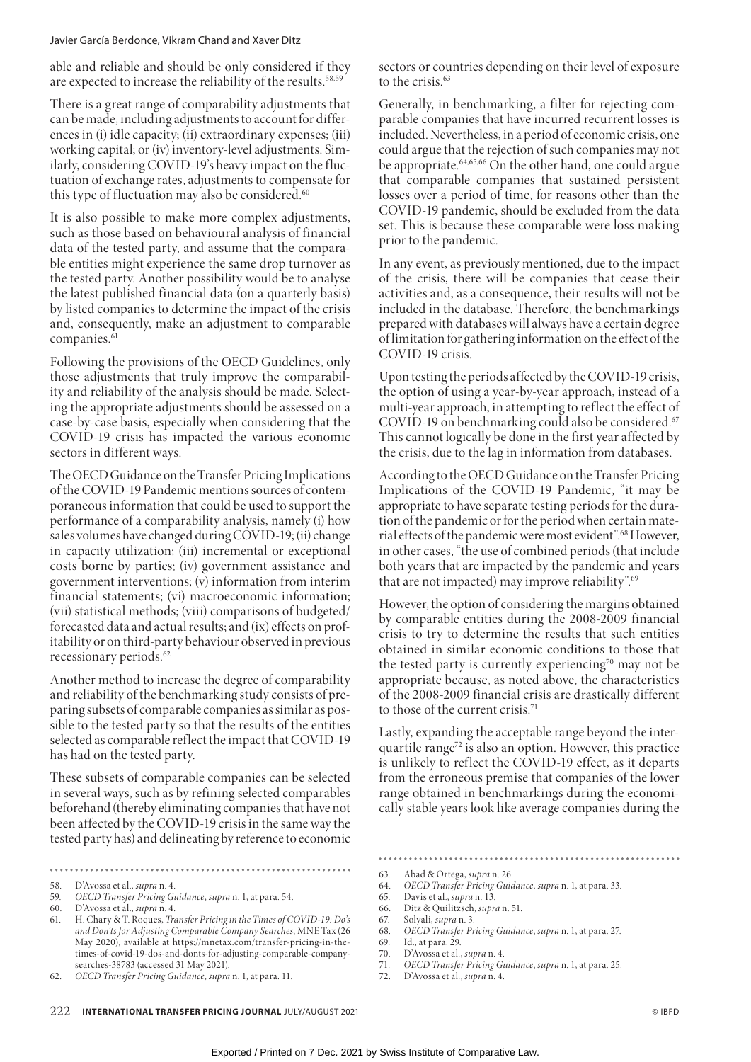able and reliable and should be only considered if they are expected to increase the reliability of the results.<sup>58,59</sup>

There is a great range of comparability adjustments that can be made, including adjustments to account for differences in (i) idle capacity; (ii) extraordinary expenses; (iii) working capital; or (iv) inventory-level adjustments. Similarly, considering COVID-19's heavy impact on the fluctuation of exchange rates, adjustments to compensate for this type of fluctuation may also be considered.<sup>60</sup>

It is also possible to make more complex adjustments, such as those based on behavioural analysis of financial data of the tested party, and assume that the comparable entities might experience the same drop turnover as the tested party. Another possibility would be to analyse the latest published financial data (on a quarterly basis) by listed companies to determine the impact of the crisis and, consequently, make an adjustment to comparable companies.<sup>61</sup>

Following the provisions of the OECD Guidelines, only those adjustments that truly improve the comparability and reliability of the analysis should be made. Selecting the appropriate adjustments should be assessed on a case-by-case basis, especially when considering that the COVID-19 crisis has impacted the various economic sectors in different ways.

The OECD Guidance on the Transfer Pricing Implications of the COVID-19 Pandemic mentions sources of contemporaneous information that could be used to support the performance of a comparability analysis, namely (i) how sales volumes have changed during COVID-19; (ii) change in capacity utilization; (iii) incremental or exceptional costs borne by parties; (iv) government assistance and government interventions; (v) information from interim financial statements; (vi) macroeconomic information; (vii) statistical methods; (viii) comparisons of budgeted/ forecasted data and actual results; and (ix) effects on profitability or on third-party behaviour observed in previous recessionary periods.62

Another method to increase the degree of comparability and reliability of the benchmarking study consists of preparing subsets of comparable companies as similar as possible to the tested party so that the results of the entities selected as comparable reflect the impact that COVID-19 has had on the tested party.

These subsets of comparable companies can be selected in several ways, such as by refining selected comparables beforehand (thereby eliminating companies that have not been affected by the COVID-19 crisis in the same way the tested party has) and delineating by reference to economic

.......

sectors or countries depending on their level of exposure to the crisis.<sup>63</sup>

Generally, in benchmarking, a filter for rejecting comparable companies that have incurred recurrent losses is included. Nevertheless, in a period of economic crisis, one could argue that the rejection of such companies may not be appropriate.64,65,66 On the other hand, one could argue that comparable companies that sustained persistent losses over a period of time, for reasons other than the COVID-19 pandemic, should be excluded from the data set. This is because these comparable were loss making prior to the pandemic.

In any event, as previously mentioned, due to the impact of the crisis, there will be companies that cease their activities and, as a consequence, their results will not be included in the database. Therefore, the benchmarkings prepared with databases will always have a certain degree of limitation for gathering information on the effect of the COVID-19 crisis.

Upon testing the periods affected by the COVID-19 crisis, the option of using a year-by-year approach, instead of a multi-year approach, in attempting to reflect the effect of COVID-19 on benchmarking could also be considered.<sup>67</sup> This cannot logically be done in the first year affected by the crisis, due to the lag in information from databases.

According to the OECD Guidance on the Transfer Pricing Implications of the COVID-19 Pandemic, "it may be appropriate to have separate testing periods for the duration of the pandemic or for the period when certain material effects of the pandemic were most evident".68 However, in other cases, "the use of combined periods (that include both years that are impacted by the pandemic and years that are not impacted) may improve reliability".<sup>69</sup>

However, the option of considering the margins obtained by comparable entities during the 2008-2009 financial crisis to try to determine the results that such entities obtained in similar economic conditions to those that the tested party is currently experiencing<sup>70</sup> may not be appropriate because, as noted above, the characteristics of the 2008-2009 financial crisis are drastically different to those of the current crisis.71

Lastly, expanding the acceptable range beyond the interquartile range<sup> $72$ </sup> is also an option. However, this practice is unlikely to reflect the COVID-19 effect, as it departs from the erroneous premise that companies of the lower range obtained in benchmarkings during the economically stable years look like average companies during the

71. *OECD Transfer Pricing Guidance*, *supra* n. 1, at para. 25.

<sup>58.</sup> D'Avossa et al., *supra* n. 4. 59. *OECD Transfer Pricing Guidance*, *supra* n. 1, at para. 54.

<sup>60.</sup> D'Avossa et al., *supra* n. 4.

<sup>61.</sup> H. Chary & T. Roques, *Transfer Pricing in the Times of COVID-19: Do's and Don'ts for Adjusting Comparable Company Searches*, MNE Tax (26 May 2020), available at https://mnetax.com/transfer-pricing-in-thetimes-of-covid-19-dos-and-donts-for-adjusting-comparable-companysearches-38783 (accessed 31 May 2021).

<sup>62.</sup> *OECD Transfer Pricing Guidance*, *supra* n. 1, at para. 11.

<sup>63.</sup> Abad & Ortega, *supra* n. 26.

<sup>64.</sup> *OECD Transfer Pricing Guidance*, *supra* n. 1, at para. 33.

<sup>65.</sup> Davis et al., *supra* n. 13.

<sup>66.</sup> Ditz & Quilitzsch, *supra* n. 51.

<sup>67.</sup> Solyali, *supra* n. 3.

<sup>68.</sup> *OECD Transfer Pricing Guidance*, *supra* n. 1, at para. 27.

<sup>69.</sup> Id., at para. 29.

<sup>70.</sup> D'Avossa et al., *supra* n. 4.

<sup>72.</sup> D'Avossa et al., *supra* n. 4.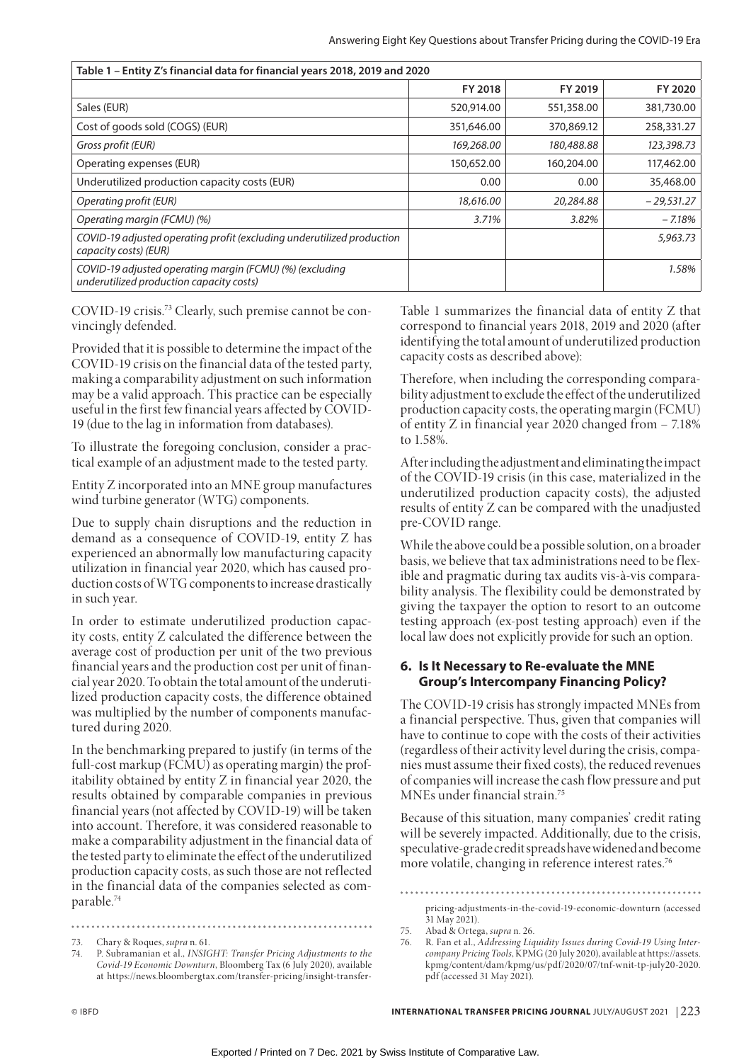| Table 1 - Entity Z's financial data for financial years 2018, 2019 and 2020                          |            |            |              |  |  |
|------------------------------------------------------------------------------------------------------|------------|------------|--------------|--|--|
|                                                                                                      | FY 2018    | FY 2019    | FY 2020      |  |  |
| Sales (EUR)                                                                                          | 520,914.00 | 551,358.00 | 381,730.00   |  |  |
| Cost of goods sold (COGS) (EUR)                                                                      | 351,646.00 | 370,869.12 | 258,331.27   |  |  |
| Gross profit (EUR)                                                                                   | 169,268.00 | 180,488.88 | 123,398.73   |  |  |
| Operating expenses (EUR)                                                                             | 150,652.00 | 160,204.00 | 117,462.00   |  |  |
| Underutilized production capacity costs (EUR)                                                        | 0.00       | 0.00       | 35,468.00    |  |  |
| Operating profit (EUR)                                                                               | 18,616.00  | 20,284.88  | $-29,531.27$ |  |  |
| Operating margin (FCMU) (%)                                                                          | 3.71%      | 3.82%      | $-7.18%$     |  |  |
| COVID-19 adjusted operating profit (excluding underutilized production<br>capacity costs) (EUR)      |            |            | 5,963.73     |  |  |
| COVID-19 adjusted operating margin (FCMU) (%) (excluding<br>underutilized production capacity costs) |            |            | 1.58%        |  |  |

COVID-19 crisis.<sup>73</sup> Clearly, such premise cannot be convincingly defended.

Provided that it is possible to determine the impact of the COVID-19 crisis on the financial data of the tested party, making a comparability adjustment on such information may be a valid approach. This practice can be especially useful in the first few financial years affected by COVID-19 (due to the lag in information from databases).

To illustrate the foregoing conclusion, consider a practical example of an adjustment made to the tested party.

Entity Z incorporated into an MNE group manufactures wind turbine generator (WTG) components.

Due to supply chain disruptions and the reduction in demand as a consequence of COVID-19, entity Z has experienced an abnormally low manufacturing capacity utilization in financial year 2020, which has caused production costs of WTG components to increase drastically in such year.

In order to estimate underutilized production capacity costs, entity Z calculated the difference between the average cost of production per unit of the two previous financial years and the production cost per unit of financial year 2020. To obtain the total amount of the underutilized production capacity costs, the difference obtained was multiplied by the number of components manufactured during 2020.

In the benchmarking prepared to justify (in terms of the full-cost markup (FCMU) as operating margin) the profitability obtained by entity Z in financial year 2020, the results obtained by comparable companies in previous financial years (not affected by COVID-19) will be taken into account. Therefore, it was considered reasonable to make a comparability adjustment in the financial data of the tested party to eliminate the effect of the underutilized production capacity costs, as such those are not reflected in the financial data of the companies selected as comparable.74

Table 1 summarizes the financial data of entity Z that correspond to financial years 2018, 2019 and 2020 (after identifying the total amount of underutilized production capacity costs as described above):

Therefore, when including the corresponding comparability adjustment to exclude the effect of the underutilized production capacity costs, the operating margin (FCMU) of entity Z in financial year 2020 changed from – 7.18% to 1.58%.

After including the adjustment and eliminating the impact of the COVID-19 crisis (in this case, materialized in the underutilized production capacity costs), the adjusted results of entity Z can be compared with the unadjusted pre-COVID range.

While the above could be a possible solution, on a broader basis, we believe that tax administrations need to be flexible and pragmatic during tax audits vis-à-vis comparability analysis. The flexibility could be demonstrated by giving the taxpayer the option to resort to an outcome testing approach (ex-post testing approach) even if the local law does not explicitly provide for such an option.

# **6. Is It Necessary to Re-evaluate the MNE Group's Intercompany Financing Policy?**

The COVID-19 crisis has strongly impacted MNEs from a financial perspective. Thus, given that companies will have to continue to cope with the costs of their activities (regardless of their activity level during the crisis, companies must assume their fixed costs), the reduced revenues of companies will increase the cash flow pressure and put MNEs under financial strain.75

Because of this situation, many companies' credit rating will be severely impacted. Additionally, due to the crisis, speculative-grade credit spreads have widened and become more volatile, changing in reference interest rates.<sup>76</sup>

pricing-adjustments-in-the-covid-19-economic-downturn (accessed 31 May 2021).

<sup>73.</sup> Chary & Roques, *supra* n. 61.

<sup>74.</sup> P. Subramanian et al., *INSIGHT: Transfer Pricing Adjustments to the Covid-19 Economic Downturn*, Bloomberg Tax (6 July 2020), available at https://news.bloombergtax.com/transfer-pricing/insight-transfer-

<sup>75.</sup> Abad & Ortega, *supra* n. 26.

<sup>76.</sup> R. Fan et al., *Addressing Liquidity Issues during Covid-19 Using Intercompany Pricing Tools*, KPMG (20 July 2020), available at https://assets. kpmg/content/dam/kpmg/us/pdf/2020/07/tnf-wnit-tp-july20-2020. pdf (accessed 31 May 2021).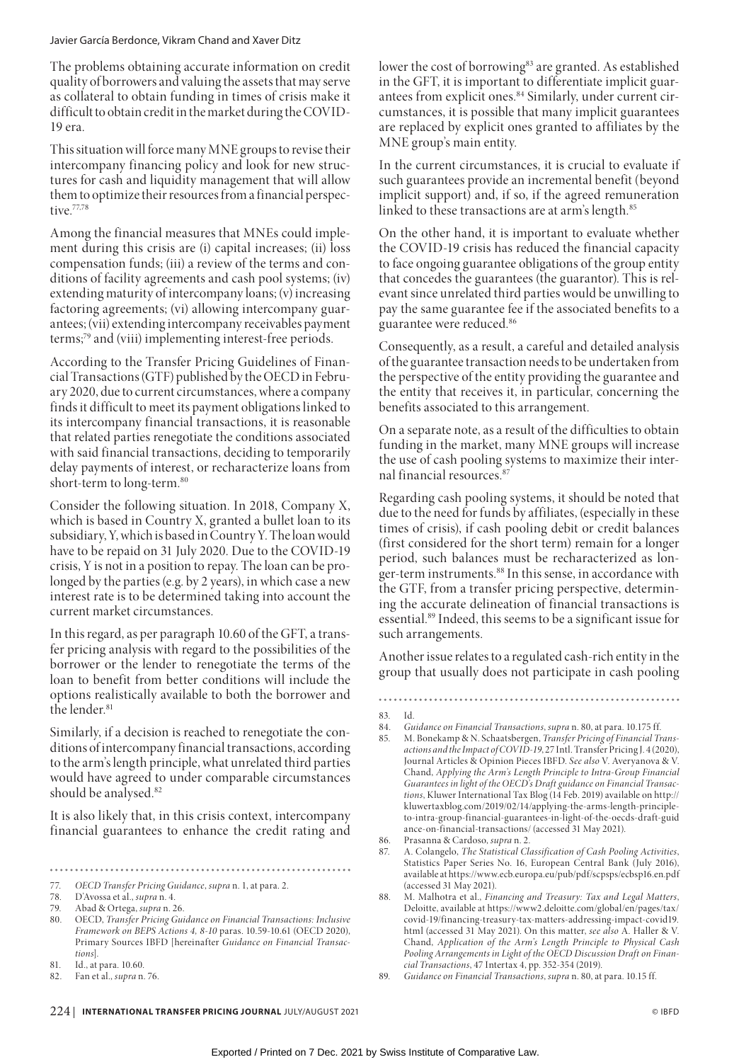The problems obtaining accurate information on credit quality of borrowers and valuing the assets that may serve as collateral to obtain funding in times of crisis make it difficult to obtain credit in the market during the COVID-19 era.

This situation will force many MNE groups to revise their intercompany financing policy and look for new structures for cash and liquidity management that will allow them to optimize their resources from a financial perspective.<sup>77,78</sup>

Among the financial measures that MNEs could implement during this crisis are (i) capital increases; (ii) loss compensation funds; (iii) a review of the terms and conditions of facility agreements and cash pool systems; (iv) extending maturity of intercompany loans; (v) increasing factoring agreements; (vi) allowing intercompany guarantees; (vii) extending intercompany receivables payment terms;79 and (viii) implementing interest-free periods.

According to the Transfer Pricing Guidelines of Financial Transactions (GTF) published by the OECD in February 2020, due to current circumstances, where a company finds it difficult to meet its payment obligations linked to its intercompany financial transactions, it is reasonable that related parties renegotiate the conditions associated with said financial transactions, deciding to temporarily delay payments of interest, or recharacterize loans from short-term to long-term.<sup>80</sup>

Consider the following situation. In 2018, Company X, which is based in Country X, granted a bullet loan to its subsidiary, Y, which is based in Country Y. The loan would have to be repaid on 31 July 2020. Due to the COVID-19 crisis, Y is not in a position to repay. The loan can be prolonged by the parties (e.g. by 2 years), in which case a new interest rate is to be determined taking into account the current market circumstances.

In this regard, as per paragraph 10.60 of the GFT, a transfer pricing analysis with regard to the possibilities of the borrower or the lender to renegotiate the terms of the loan to benefit from better conditions will include the options realistically available to both the borrower and the lender.<sup>81</sup>

Similarly, if a decision is reached to renegotiate the conditions of intercompany financial transactions, according to the arm's length principle, what unrelated third parties would have agreed to under comparable circumstances should be analysed.<sup>82</sup>

It is also likely that, in this crisis context, intercompany financial guarantees to enhance the credit rating and

lower the cost of borrowing<sup>83</sup> are granted. As established in the GFT, it is important to differentiate implicit guarantees from explicit ones.<sup>84</sup> Similarly, under current circumstances, it is possible that many implicit guarantees are replaced by explicit ones granted to affiliates by the MNE group's main entity.

In the current circumstances, it is crucial to evaluate if such guarantees provide an incremental benefit (beyond implicit support) and, if so, if the agreed remuneration linked to these transactions are at arm's length.<sup>85</sup>

On the other hand, it is important to evaluate whether the COVID-19 crisis has reduced the financial capacity to face ongoing guarantee obligations of the group entity that concedes the guarantees (the guarantor). This is relevant since unrelated third parties would be unwilling to pay the same guarantee fee if the associated benefits to a guarantee were reduced.86

Consequently, as a result, a careful and detailed analysis of the guarantee transaction needs to be undertaken from the perspective of the entity providing the guarantee and the entity that receives it, in particular, concerning the benefits associated to this arrangement.

On a separate note, as a result of the difficulties to obtain funding in the market, many MNE groups will increase the use of cash pooling systems to maximize their internal financial resources.<sup>8</sup>

Regarding cash pooling systems, it should be noted that due to the need for funds by affiliates, (especially in these times of crisis), if cash pooling debit or credit balances (first considered for the short term) remain for a longer period, such balances must be recharacterized as longer-term instruments.<sup>88</sup> In this sense, in accordance with the GTF, from a transfer pricing perspective, determining the accurate delineation of financial transactions is essential.89 Indeed, this seems to be a significant issue for such arrangements.

Another issue relates to a regulated cash-rich entity in the group that usually does not participate in cash pooling

85. M. Bonekamp & N. Schaatsbergen, *Transfer Pricing of Financial Transactions and the Impact of COVID-19*, 27 Intl. Transfer Pricing J. 4 (2020), Journal Articles & Opinion Pieces IBFD. *See also* V. Averyanova & V. Chand, *Applying the Arm's Length Principle to Intra-Group Financial Guarantees in light of the OECD's Draft guidance on Financial Transactions*, Kluwer International Tax Blog (14 Feb. 2019) available on http:// kluwertaxblog.com/2019/02/14/applying-the-arms-length-principleto-intra-group-financial-guarantees-in-light-of-the-oecds-draft-guid ance-on-financial-transactions/ (accessed 31 May 2021).

87. A. Colangelo, *The Statistical Classification of Cash Pooling Activities*, Statistics Paper Series No. 16, European Central Bank (July 2016), available at https://www.ecb.europa.eu/pub/pdf/scpsps/ecbsp16.en.pdf (accessed 31 May 2021).

<sup>77.</sup> *OECD Transfer Pricing Guidance*, *supra* n. 1, at para. 2.

<sup>78.</sup> D'Avossa et al., *supra* n. 4.

<sup>79.</sup> Abad & Ortega, *supra* n. 26.

<sup>80.</sup> OECD, *Transfer Pricing Guidance on Financial Transactions: Inclusive Framework on BEPS Actions 4, 8-10* paras. 10.59-10.61 (OECD 2020), Primary Sources IBFD [hereinafter *Guidance on Financial Transactions*].

<sup>81.</sup> Id., at para. 10.60.

<sup>82.</sup> Fan et al., *supra* n. 76.

<sup>83.</sup> Id.

<sup>84.</sup> *Guidance on Financial Transactions*, *supra* n. 80, at para. 10.175 ff.

<sup>86.</sup> Prasanna & Cardoso, *supra* n. 2.

<sup>88.</sup> M. Malhotra et al., *Financing and Treasury: Tax and Legal Matters*, Deloitte, available at https://www2.deloitte.com/global/en/pages/tax/ covid-19/financing-treasury-tax-matters-addressing-impact-covid19. html (accessed 31 May 2021). On this matter, *see also* A. Haller & V. Chand, *Application of the Arm's Length Principle to Physical Cash Pooling Arrangements in Light of the OECD Discussion Draft on Financial Transactions*, 47 Intertax 4, pp. 352-354 (2019).

<sup>89.</sup> *Guidance on Financial Transactions*, *supra* n. 80, at para. 10.15 ff.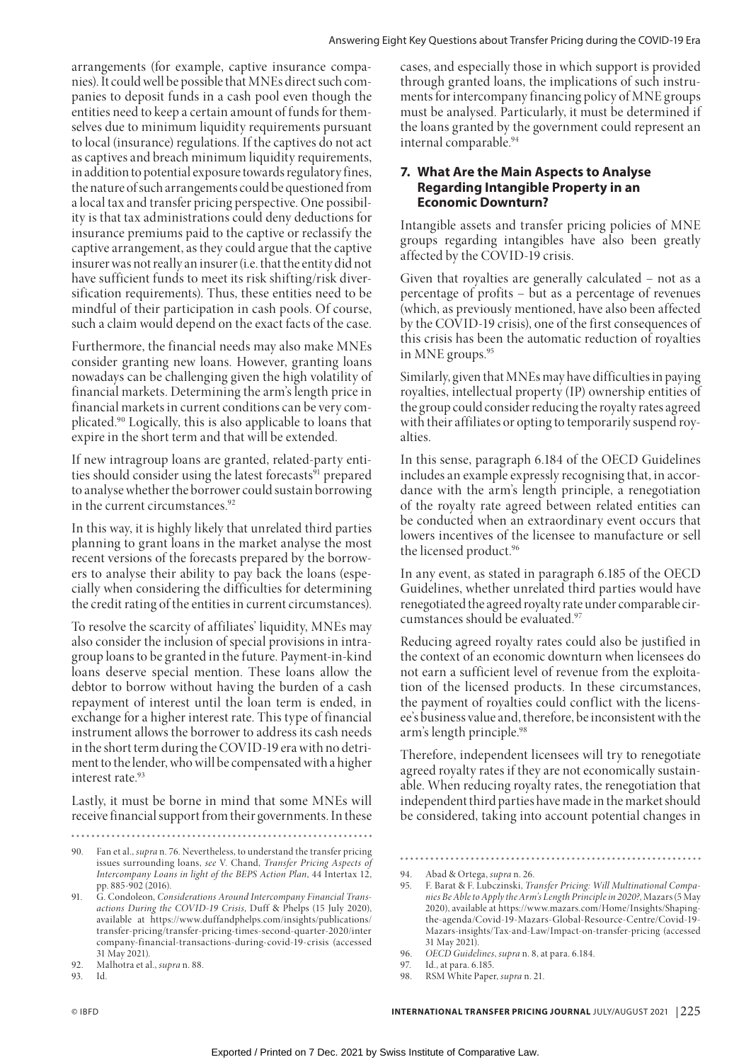arrangements (for example, captive insurance companies). It could well be possible that MNEs direct such companies to deposit funds in a cash pool even though the entities need to keep a certain amount of funds for themselves due to minimum liquidity requirements pursuant to local (insurance) regulations. If the captives do not act as captives and breach minimum liquidity requirements, in addition to potential exposure towards regulatory fines, the nature of such arrangements could be questioned from a local tax and transfer pricing perspective. One possibility is that tax administrations could deny deductions for insurance premiums paid to the captive or reclassify the captive arrangement, as they could argue that the captive insurer was not really an insurer (i.e. that the entity did not have sufficient funds to meet its risk shifting/risk diversification requirements). Thus, these entities need to be mindful of their participation in cash pools. Of course, such a claim would depend on the exact facts of the case.

Furthermore, the financial needs may also make MNEs consider granting new loans. However, granting loans nowadays can be challenging given the high volatility of financial markets. Determining the arm's length price in financial markets in current conditions can be very complicated.90 Logically, this is also applicable to loans that expire in the short term and that will be extended.

If new intragroup loans are granted, related-party entities should consider using the latest forecasts<sup>91</sup> prepared to analyse whether the borrower could sustain borrowing in the current circumstances.<sup>92</sup>

In this way, it is highly likely that unrelated third parties planning to grant loans in the market analyse the most recent versions of the forecasts prepared by the borrowers to analyse their ability to pay back the loans (especially when considering the difficulties for determining the credit rating of the entities in current circumstances).

To resolve the scarcity of affiliates' liquidity, MNEs may also consider the inclusion of special provisions in intragroup loans to be granted in the future. Payment-in-kind loans deserve special mention. These loans allow the debtor to borrow without having the burden of a cash repayment of interest until the loan term is ended, in exchange for a higher interest rate. This type of financial instrument allows the borrower to address its cash needs in the short term during the COVID-19 era with no detriment to the lender, who will be compensated with a higher interest rate.<sup>93</sup>

Lastly, it must be borne in mind that some MNEs will receive financial support from their governments. In these

cases, and especially those in which support is provided through granted loans, the implications of such instruments for intercompany financing policy of MNE groups must be analysed. Particularly, it must be determined if the loans granted by the government could represent an internal comparable.94

# **7. What Are the Main Aspects to Analyse Regarding Intangible Property in an Economic Downturn?**

Intangible assets and transfer pricing policies of MNE groups regarding intangibles have also been greatly affected by the COVID-19 crisis.

Given that royalties are generally calculated – not as a percentage of profits – but as a percentage of revenues (which, as previously mentioned, have also been affected by the COVID-19 crisis), one of the first consequences of this crisis has been the automatic reduction of royalties in MNE groups.<sup>95</sup>

Similarly, given that MNEs may have difficulties in paying royalties, intellectual property (IP) ownership entities of the group could consider reducing the royalty rates agreed with their affiliates or opting to temporarily suspend royalties.

In this sense, paragraph 6.184 of the OECD Guidelines includes an example expressly recognising that, in accordance with the arm's length principle, a renegotiation of the royalty rate agreed between related entities can be conducted when an extraordinary event occurs that lowers incentives of the licensee to manufacture or sell the licensed product.96

In any event, as stated in paragraph 6.185 of the OECD Guidelines, whether unrelated third parties would have renegotiated the agreed royalty rate under comparable circumstances should be evaluated.97

Reducing agreed royalty rates could also be justified in the context of an economic downturn when licensees do not earn a sufficient level of revenue from the exploitation of the licensed products. In these circumstances, the payment of royalties could conflict with the licensee's business value and, therefore, be inconsistent with the arm's length principle.98

Therefore, independent licensees will try to renegotiate agreed royalty rates if they are not economically sustainable. When reducing royalty rates, the renegotiation that independent third parties have made in the market should be considered, taking into account potential changes in

<sup>90.</sup> Fan et al., *supra* n. 76. Nevertheless, to understand the transfer pricing issues surrounding loans, *see* V. Chand, *Transfer Pricing Aspects of Intercompany Loans in light of the BEPS Action Plan*, 44 Intertax 12, pp. 885-902 (2016).

<sup>91.</sup> G. Condoleon, *Considerations Around Intercompany Financial Transactions During the COVID-19 Crisis*, Duff & Phelps (15 July 2020), available at https://www.duffandphelps.com/insights/publications/ transfer-pricing/transfer-pricing-times-second-quarter-2020/inter company-financial-transactions-during-covid-19-crisis (accessed 31 May 2021).

<sup>92.</sup> Malhotra et al., *supra* n. 88.

<sup>93.</sup> Id.

<sup>94.</sup> Abad & Ortega, *supra* n. 26.

<sup>95.</sup> F. Barat & F. Lubczinski, *Transfer Pricing: Will Multinational Companies Be Able to Apply the Arm's Length Principle in 2020?*, Mazars (5 May 2020), available at https://www.mazars.com/Home/Insights/Shapingthe-agenda/Covid-19-Mazars-Global-Resource-Centre/Covid-19- Mazars-insights/Tax-and-Law/Impact-on-transfer-pricing (accessed 31 May 2021).

<sup>96.</sup> *OECD Guidelines*, *supra* n. 8, at para. 6.184.

<sup>97.</sup> Id., at para. 6.185.

<sup>98.</sup> RSM White Paper, *supra* n. 21.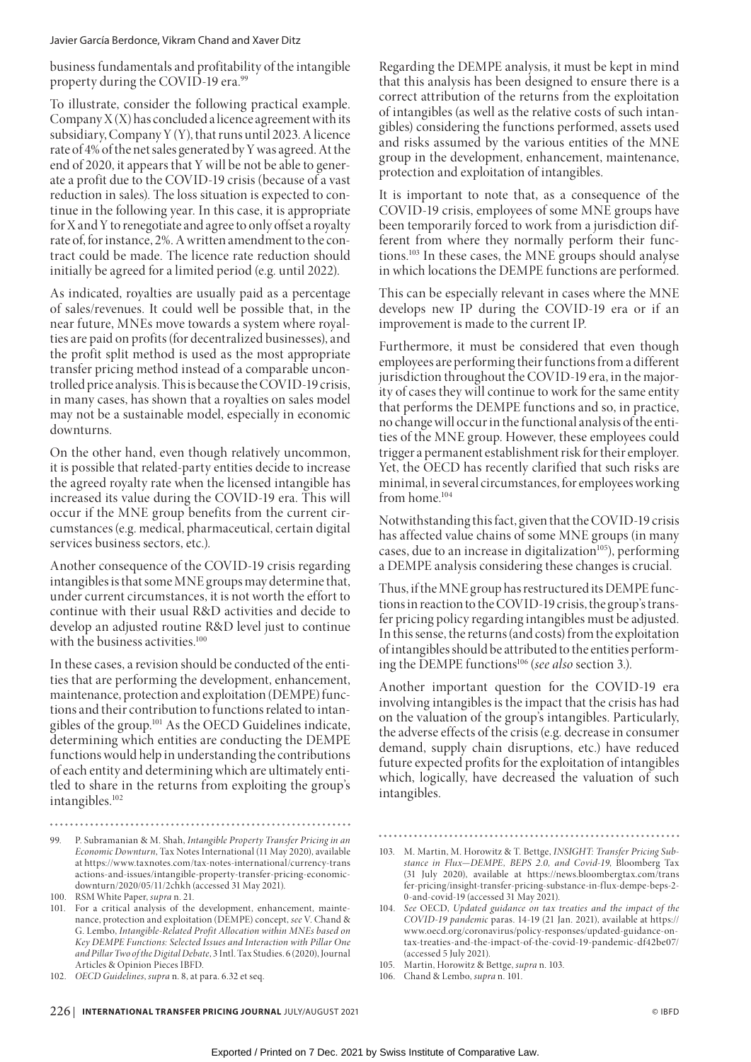business fundamentals and profitability of the intangible property during the COVID-19 era.<sup>99</sup>

To illustrate, consider the following practical example. Company  $X(X)$  has concluded a licence agreement with its subsidiary, Company Y (Y), that runs until 2023. A licence rate of 4% of the net sales generated by Y was agreed. At the end of 2020, it appears that Y will be not be able to generate a profit due to the COVID-19 crisis (because of a vast reduction in sales). The loss situation is expected to continue in the following year. In this case, it is appropriate for X and Y to renegotiate and agree to only offset a royalty rate of, for instance, 2%. A written amendment to the contract could be made. The licence rate reduction should initially be agreed for a limited period (e.g. until 2022).

As indicated, royalties are usually paid as a percentage of sales/revenues. It could well be possible that, in the near future, MNEs move towards a system where royalties are paid on profits (for decentralized businesses), and the profit split method is used as the most appropriate transfer pricing method instead of a comparable uncontrolled price analysis. This is because the COVID-19 crisis, in many cases, has shown that a royalties on sales model may not be a sustainable model, especially in economic downturns.

On the other hand, even though relatively uncommon, it is possible that related-party entities decide to increase the agreed royalty rate when the licensed intangible has increased its value during the COVID-19 era. This will occur if the MNE group benefits from the current circumstances (e.g. medical, pharmaceutical, certain digital services business sectors, etc.).

Another consequence of the COVID-19 crisis regarding intangibles is that some MNE groups may determine that, under current circumstances, it is not worth the effort to continue with their usual R&D activities and decide to develop an adjusted routine R&D level just to continue with the business activities.<sup>100</sup>

In these cases, a revision should be conducted of the entities that are performing the development, enhancement, maintenance, protection and exploitation (DEMPE) functions and their contribution to functions related to intangibles of the group.101 As the OECD Guidelines indicate, determining which entities are conducting the DEMPE functions would help in understanding the contributions of each entity and determining which are ultimately entitled to share in the returns from exploiting the group's intangibles.102

- 99. P. Subramanian & M. Shah, *Intangible Property Transfer Pricing in an Economic Downturn*, Tax Notes International (11 May 2020), available at https://www.taxnotes.com/tax-notes-international/currency-trans actions-and-issues/intangible-property-transfer-pricing-economicdownturn/2020/05/11/2chkh (accessed 31 May 2021).
- 100. RSM White Paper, *supra* n. 21.
- 101. For a critical analysis of the development, enhancement, maintenance, protection and exploitation (DEMPE) concept, *see* V. Chand & G. Lembo, *Intangible-Related Profit Allocation within MNEs based on Key DEMPE Functions: Selected Issues and Interaction with Pillar One and Pillar Two of the Digital Debate*, 3 Intl. Tax Studies. 6 (2020), Journal Articles & Opinion Pieces IBFD.

Regarding the DEMPE analysis, it must be kept in mind that this analysis has been designed to ensure there is a correct attribution of the returns from the exploitation of intangibles (as well as the relative costs of such intangibles) considering the functions performed, assets used and risks assumed by the various entities of the MNE group in the development, enhancement, maintenance, protection and exploitation of intangibles.

It is important to note that, as a consequence of the COVID-19 crisis, employees of some MNE groups have been temporarily forced to work from a jurisdiction different from where they normally perform their functions.103 In these cases, the MNE groups should analyse in which locations the DEMPE functions are performed.

This can be especially relevant in cases where the MNE develops new IP during the COVID-19 era or if an improvement is made to the current IP.

Furthermore, it must be considered that even though employees are performing their functions from a different jurisdiction throughout the COVID-19 era, in the majority of cases they will continue to work for the same entity that performs the DEMPE functions and so, in practice, no change will occur in the functional analysis of the entities of the MNE group. However, these employees could trigger a permanent establishment risk for their employer. Yet, the OECD has recently clarified that such risks are minimal, in several circumstances, for employees working from home.104

Notwithstanding this fact, given that the COVID-19 crisis has affected value chains of some MNE groups (in many cases, due to an increase in digitalization<sup>105</sup>), performing a DEMPE analysis considering these changes is crucial.

Thus, if the MNE group has restructured its DEMPE functions in reaction to the COVID-19 crisis, the group's transfer pricing policy regarding intangibles must be adjusted. In this sense, the returns (and costs) from the exploitation of intangibles should be attributed to the entities performing the DEMPE functions106 (*see also* section 3.).

Another important question for the COVID-19 era involving intangibles is the impact that the crisis has had on the valuation of the group's intangibles. Particularly, the adverse effects of the crisis (e.g. decrease in consumer demand, supply chain disruptions, etc.) have reduced future expected profits for the exploitation of intangibles which, logically, have decreased the valuation of such intangibles.

- 105. Martin, Horowitz & Bettge, *supra* n. 103.
- 106. Chand & Lembo, *supra* n. 101.

<sup>102.</sup> *OECD Guidelines*, *supra* n. 8, at para. 6.32 et seq.

<sup>103.</sup> M. Martin, M. Horowitz & T. Bettge, *INSIGHT: Transfer Pricing Substance in Flux—DEMPE, BEPS 2.0, and Covid-19*, Bloomberg Tax (31 July 2020), available at https://news.bloombergtax.com/trans fer-pricing/insight-transfer-pricing-substance-in-flux-dempe-beps-2-0-and-covid-19 (accessed 31 May 2021).

<sup>104.</sup> *See* OECD, *Updated guidance on tax treaties and the impact of the COVID-19 pandemic* paras. 14-19 (21 Jan. 2021), available at https:// www.oecd.org/coronavirus/policy-responses/updated-guidance-ontax-treaties-and-the-impact-of-the-covid-19-pandemic-df42be07/ (accessed 5 July 2021).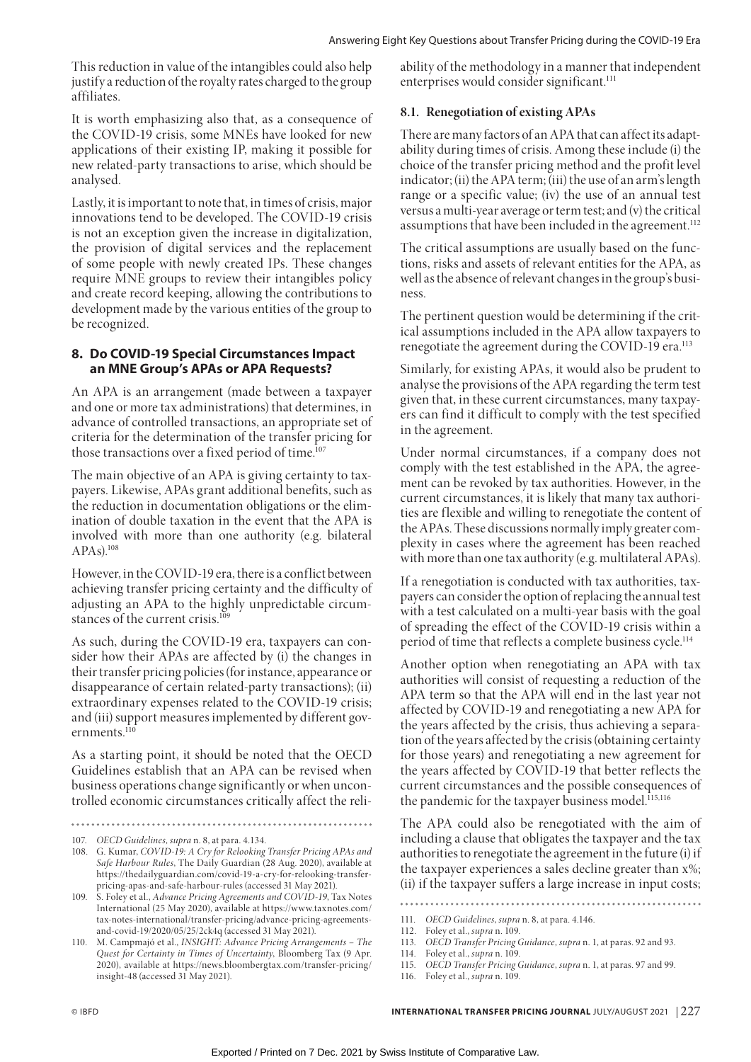This reduction in value of the intangibles could also help justify a reduction of the royalty rates charged to the group affiliates.

It is worth emphasizing also that, as a consequence of the COVID-19 crisis, some MNEs have looked for new applications of their existing IP, making it possible for new related-party transactions to arise, which should be analysed.

Lastly, it is important to note that, in times of crisis, major innovations tend to be developed. The COVID-19 crisis is not an exception given the increase in digitalization, the provision of digital services and the replacement of some people with newly created IPs. These changes require MNE groups to review their intangibles policy and create record keeping, allowing the contributions to development made by the various entities of the group to be recognized.

# **8. Do COVID-19 Special Circumstances Impact an MNE Group's APAs or APA Requests?**

An APA is an arrangement (made between a taxpayer and one or more tax administrations) that determines, in advance of controlled transactions, an appropriate set of criteria for the determination of the transfer pricing for those transactions over a fixed period of time.<sup>107</sup>

The main objective of an APA is giving certainty to taxpayers. Likewise, APAs grant additional benefits, such as the reduction in documentation obligations or the elimination of double taxation in the event that the APA is involved with more than one authority (e.g. bilateral APAs).108

However, in the COVID-19 era, there is a conflict between achieving transfer pricing certainty and the difficulty of adjusting an APA to the highly unpredictable circumstances of the current crisis.<sup>109</sup>

As such, during the COVID-19 era, taxpayers can consider how their APAs are affected by (i) the changes in their transfer pricing policies (for instance, appearance or disappearance of certain related-party transactions); (ii) extraordinary expenses related to the COVID-19 crisis; and (iii) support measures implemented by different governments.<sup>110</sup>

As a starting point, it should be noted that the OECD Guidelines establish that an APA can be revised when business operations change significantly or when uncontrolled economic circumstances critically affect the reli-

ability of the methodology in a manner that independent enterprises would consider significant.<sup>111</sup>

## **8.1. Renegotiation of existing APAs**

There are many factors of an APA that can affect its adaptability during times of crisis. Among these include (i) the choice of the transfer pricing method and the profit level indicator; (ii) the APA term; (iii) the use of an arm's length range or a specific value; (iv) the use of an annual test versus a multi-year average or term test; and (v) the critical assumptions that have been included in the agreement.<sup>112</sup>

The critical assumptions are usually based on the functions, risks and assets of relevant entities for the APA, as well as the absence of relevant changes in the group's business.

The pertinent question would be determining if the critical assumptions included in the APA allow taxpayers to renegotiate the agreement during the COVID-19 era.<sup>113</sup>

Similarly, for existing APAs, it would also be prudent to analyse the provisions of the APA regarding the term test given that, in these current circumstances, many taxpayers can find it difficult to comply with the test specified in the agreement.

Under normal circumstances, if a company does not comply with the test established in the APA, the agreement can be revoked by tax authorities. However, in the current circumstances, it is likely that many tax authorities are flexible and willing to renegotiate the content of the APAs. These discussions normally imply greater complexity in cases where the agreement has been reached with more than one tax authority (e.g. multilateral APAs).

If a renegotiation is conducted with tax authorities, taxpayers can consider the option of replacing the annual test with a test calculated on a multi-year basis with the goal of spreading the effect of the COVID-19 crisis within a period of time that reflects a complete business cycle.114

Another option when renegotiating an APA with tax authorities will consist of requesting a reduction of the APA term so that the APA will end in the last year not affected by COVID-19 and renegotiating a new APA for the years affected by the crisis, thus achieving a separation of the years affected by the crisis (obtaining certainty for those years) and renegotiating a new agreement for the years affected by COVID-19 that better reflects the current circumstances and the possible consequences of the pandemic for the taxpayer business model.<sup>115,116</sup>

The APA could also be renegotiated with the aim of including a clause that obligates the taxpayer and the tax authorities to renegotiate the agreement in the future (i) if the taxpayer experiences a sales decline greater than x%; (ii) if the taxpayer suffers a large increase in input costs;

<sup>107.</sup> *OECD Guidelines*, *supra* n. 8, at para. 4.134.

<sup>108.</sup> G. Kumar, *COVID-19: A Cry for Relooking Transfer Pricing APAs and Safe Harbour Rules*, The Daily Guardian (28 Aug. 2020), available at https://thedailyguardian.com/covid-19-a-cry-for-relooking-transferpricing-apas-and-safe-harbour-rules (accessed 31 May 2021).

<sup>109.</sup> S. Foley et al., *Advance Pricing Agreements and COVID-19*, Tax Notes International (25 May 2020), available at https://www.taxnotes.com/ tax-notes-international/transfer-pricing/advance-pricing-agreementsand-covid-19/2020/05/25/2ck4q (accessed 31 May 2021).

<sup>110.</sup> M. Campmajó et al., *INSIGHT: Advance Pricing Arrangements – The Quest for Certainty in Times of Uncertainty*, Bloomberg Tax (9 Apr. 2020), available at https://news.bloombergtax.com/transfer-pricing/ insight-48 (accessed 31 May 2021).

<sup>111.</sup> *OECD Guidelines*, *supra* n. 8, at para. 4.146.

<sup>112.</sup> Foley et al., *supra* n. 109.

<sup>113.</sup> *OECD Transfer Pricing Guidance*, *supra* n. 1, at paras. 92 and 93.

<sup>114.</sup> Foley et al., *supra* n. 109. 115. *OECD Transfer Pricing Guidance*, *supra* n. 1, at paras. 97 and 99.

<sup>116.</sup> Foley et al., *supra* n. 109.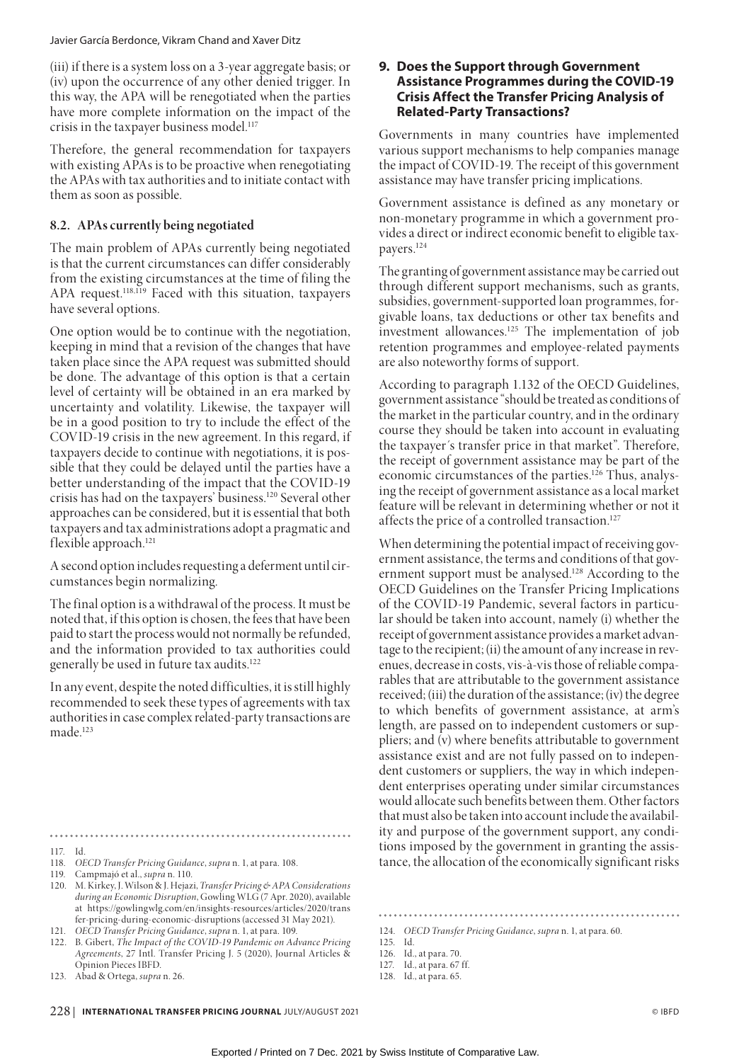(iii) if there is a system loss on a 3-year aggregate basis; or (iv) upon the occurrence of any other denied trigger. In this way, the APA will be renegotiated when the parties have more complete information on the impact of the crisis in the taxpayer business model.<sup>117</sup>

Therefore, the general recommendation for taxpayers with existing APAs is to be proactive when renegotiating the APAs with tax authorities and to initiate contact with them as soon as possible.

# **8.2. APAs currently being negotiated**

The main problem of APAs currently being negotiated is that the current circumstances can differ considerably from the existing circumstances at the time of filing the APA request.<sup>118,119</sup> Faced with this situation, taxpayers have several options.

One option would be to continue with the negotiation, keeping in mind that a revision of the changes that have taken place since the APA request was submitted should be done. The advantage of this option is that a certain level of certainty will be obtained in an era marked by uncertainty and volatility. Likewise, the taxpayer will be in a good position to try to include the effect of the COVID-19 crisis in the new agreement. In this regard, if taxpayers decide to continue with negotiations, it is possible that they could be delayed until the parties have a better understanding of the impact that the COVID-19 crisis has had on the taxpayers' business.120 Several other approaches can be considered, but it is essential that both taxpayers and tax administrations adopt a pragmatic and flexible approach.<sup>121</sup>

A second option includes requesting a deferment until circumstances begin normalizing.

The final option is a withdrawal of the process. It must be noted that, if this option is chosen, the fees that have been paid to start the process would not normally be refunded, and the information provided to tax authorities could generally be used in future tax audits.<sup>122</sup>

In any event, despite the noted difficulties, it is still highly recommended to seek these types of agreements with tax authorities in case complex related-party transactions are made.123

- 117. Id.
- 118. *OECD Transfer Pricing Guidance*, *supra* n. 1, at para. 108.
- 119. Campmajó et al., *supra* n. 110.
- 120. M. Kirkey, J. Wilson & J. Hejazi, *Transfer Pricing & APA Considerations during an Economic Disruption*, Gowling WLG (7 Apr. 2020), available at https://gowlingwlg.com/en/insights-resources/articles/2020/trans fer-pricing-during-economic-disruptions (accessed 31 May 2021).
- 121. *OECD Transfer Pricing Guidance*, *supra* n. 1, at para. 109.
- 122. B. Gibert, *The Impact of the COVID-19 Pandemic on Advance Pricing Agreements*, 27 Intl. Transfer Pricing J. 5 (2020), Journal Articles & Opinion Pieces IBFD.
- 123. Abad & Ortega, *supra* n. 26.

# **9. Does the Support through Government Assistance Programmes during the COVID-19 Crisis Affect the Transfer Pricing Analysis of Related-Party Transactions?**

Governments in many countries have implemented various support mechanisms to help companies manage the impact of COVID-19. The receipt of this government assistance may have transfer pricing implications.

Government assistance is defined as any monetary or non-monetary programme in which a government provides a direct or indirect economic benefit to eligible taxpayers.124

The granting of government assistance may be carried out through different support mechanisms, such as grants, subsidies, government-supported loan programmes, forgivable loans, tax deductions or other tax benefits and investment allowances.125 The implementation of job retention programmes and employee-related payments are also noteworthy forms of support.

According to paragraph 1.132 of the OECD Guidelines, government assistance "should be treated as conditions of the market in the particular country, and in the ordinary course they should be taken into account in evaluating the taxpayer´s transfer price in that market". Therefore, the receipt of government assistance may be part of the economic circumstances of the parties.<sup>126</sup> Thus, analysing the receipt of government assistance as a local market feature will be relevant in determining whether or not it affects the price of a controlled transaction.<sup>127</sup>

When determining the potential impact of receiving government assistance, the terms and conditions of that government support must be analysed.<sup>128</sup> According to the OECD Guidelines on the Transfer Pricing Implications of the COVID-19 Pandemic, several factors in particular should be taken into account, namely (i) whether the receipt of government assistance provides a market advantage to the recipient; (ii) the amount of any increase in revenues, decrease in costs, vis-à-vis those of reliable comparables that are attributable to the government assistance received; (iii) the duration of the assistance; (iv) the degree to which benefits of government assistance, at arm's length, are passed on to independent customers or suppliers; and (v) where benefits attributable to government assistance exist and are not fully passed on to independent customers or suppliers, the way in which independent enterprises operating under similar circumstances would allocate such benefits between them. Other factors that must also be taken into account include the availability and purpose of the government support, any conditions imposed by the government in granting the assistance, the allocation of the economically significant risks

- 125. Id.
- 126. Id., at para. 70.

128. Id., at para. 65.

<sup>124.</sup> *OECD Transfer Pricing Guidance*, *supra* n. 1, at para. 60.

<sup>127.</sup> Id., at para. 67 ff.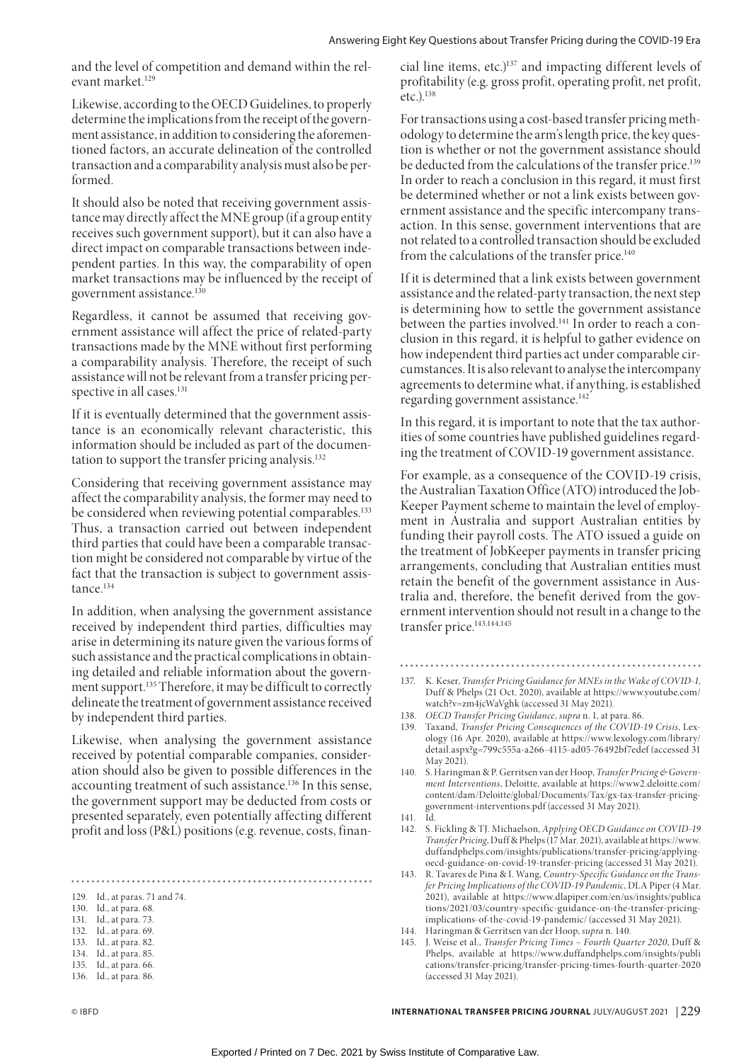and the level of competition and demand within the relevant market.129

Likewise, according to the OECD Guidelines, to properly determine the implications from the receipt of the government assistance, in addition to considering the aforementioned factors, an accurate delineation of the controlled transaction and a comparability analysis must also be performed.

It should also be noted that receiving government assistance may directly affect the MNE group (if a group entity receives such government support), but it can also have a direct impact on comparable transactions between independent parties. In this way, the comparability of open market transactions may be influenced by the receipt of government assistance.130

Regardless, it cannot be assumed that receiving government assistance will affect the price of related-party transactions made by the MNE without first performing a comparability analysis. Therefore, the receipt of such assistance will not be relevant from a transfer pricing perspective in all cases.<sup>131</sup>

If it is eventually determined that the government assistance is an economically relevant characteristic, this information should be included as part of the documentation to support the transfer pricing analysis.<sup>132</sup>

Considering that receiving government assistance may affect the comparability analysis, the former may need to be considered when reviewing potential comparables.<sup>133</sup> Thus, a transaction carried out between independent third parties that could have been a comparable transaction might be considered not comparable by virtue of the fact that the transaction is subject to government assistance.<sup>134</sup>

In addition, when analysing the government assistance received by independent third parties, difficulties may arise in determining its nature given the various forms of such assistance and the practical complications in obtaining detailed and reliable information about the government support.135 Therefore, it may be difficult to correctly delineate the treatment of government assistance received by independent third parties.

Likewise, when analysing the government assistance received by potential comparable companies, consideration should also be given to possible differences in the accounting treatment of such assistance.136 In this sense, the government support may be deducted from costs or presented separately, even potentially affecting different profit and loss (P&L) positions (e.g. revenue, costs, finan-

- 131. Id., at para. 73.
- 132. Id., at para. 69. 133. Id., at para. 82.
- 134. Id., at para. 85.
- 135. Id., at para. 66.
- 136. Id., at para. 86.

cial line items, etc.)137 and impacting different levels of profitability (e.g. gross profit, operating profit, net profit, etc.).138

For transactions using a cost-based transfer pricing methodology to determine the arm's length price, the key question is whether or not the government assistance should be deducted from the calculations of the transfer price.<sup>139</sup> In order to reach a conclusion in this regard, it must first be determined whether or not a link exists between government assistance and the specific intercompany transaction. In this sense, government interventions that are not related to a controlled transaction should be excluded from the calculations of the transfer price.<sup>140</sup>

If it is determined that a link exists between government assistance and the related-party transaction, the next step is determining how to settle the government assistance between the parties involved.<sup>141</sup> In order to reach a conclusion in this regard, it is helpful to gather evidence on how independent third parties act under comparable circumstances. It is also relevant to analyse the intercompany agreements to determine what, if anything, is established regarding government assistance.<sup>142</sup>

In this regard, it is important to note that the tax authorities of some countries have published guidelines regarding the treatment of COVID-19 government assistance.

For example, as a consequence of the COVID-19 crisis, the Australian Taxation Office (ATO) introduced the Job-Keeper Payment scheme to maintain the level of employment in Australia and support Australian entities by funding their payroll costs. The ATO issued a guide on the treatment of JobKeeper payments in transfer pricing arrangements, concluding that Australian entities must retain the benefit of the government assistance in Australia and, therefore, the benefit derived from the government intervention should not result in a change to the transfer price.<sup>143,144,145</sup>

- 
- 137. K. Keser, *Transfer Pricing Guidance for MNEs in the Wake of COVID-1*, Duff & Phelps (21 Oct. 2020), available at https://www.youtube.com/ watch?v=zm4jcWaVghk (accessed 31 May 2021).
- 138. *OECD Transfer Pricing Guidance*, *supra* n. 1, at para. 86.
- 139. Taxand, *Transfer Pricing Consequences of the COVID-19 Crisis*, Lexology (16 Apr. 2020), available at https://www.lexology.com/library/ detail.aspx?g=799c555a-a266-4115-ad05-76492bf7edef (accessed 31 May 2021).
- 140. S. Haringman & P. Gerritsen van der Hoop, *Transfer Pricing & Government Interventions*, Deloitte, available at https://www2.deloitte.com/ content/dam/Deloitte/global/Documents/Tax/gx-tax-transfer-pricinggovernment-interventions.pdf (accessed 31 May 2021).
- 141. Id.
- 142. S. Fickling & TJ. Michaelson, *Applying OECD Guidance on COVID-19 Transfer Pricing*, Duff & Phelps (17 Mar. 2021), available at https://www. duffandphelps.com/insights/publications/transfer-pricing/applyingoecd-guidance-on-covid-19-transfer-pricing (accessed 31 May 2021).
- 143. R. Tavares de Pina & I. Wang, *Country-Specific Guidance on the Transfer Pricing Implications of the COVID-19 Pandemic*, DLA Piper (4 Mar. 2021), available at https://www.dlapiper.com/en/us/insights/publica tions/2021/03/country-specific-guidance-on-the-transfer-pricingimplications-of-the-covid-19-pandemic/ (accessed 31 May 2021).
- 144. Haringman & Gerritsen van der Hoop, *supra* n. 140.
- 145. J. Weise et al., *Transfer Pricing Times Fourth Quarter 2020*, Duff & Phelps, available at https://www.duffandphelps.com/insights/publi cations/transfer-pricing/transfer-pricing-times-fourth-quarter-2020 (accessed 31 May 2021).

<sup>129.</sup> Id., at paras. 71 and 74.

<sup>130.</sup> Id., at para. 68.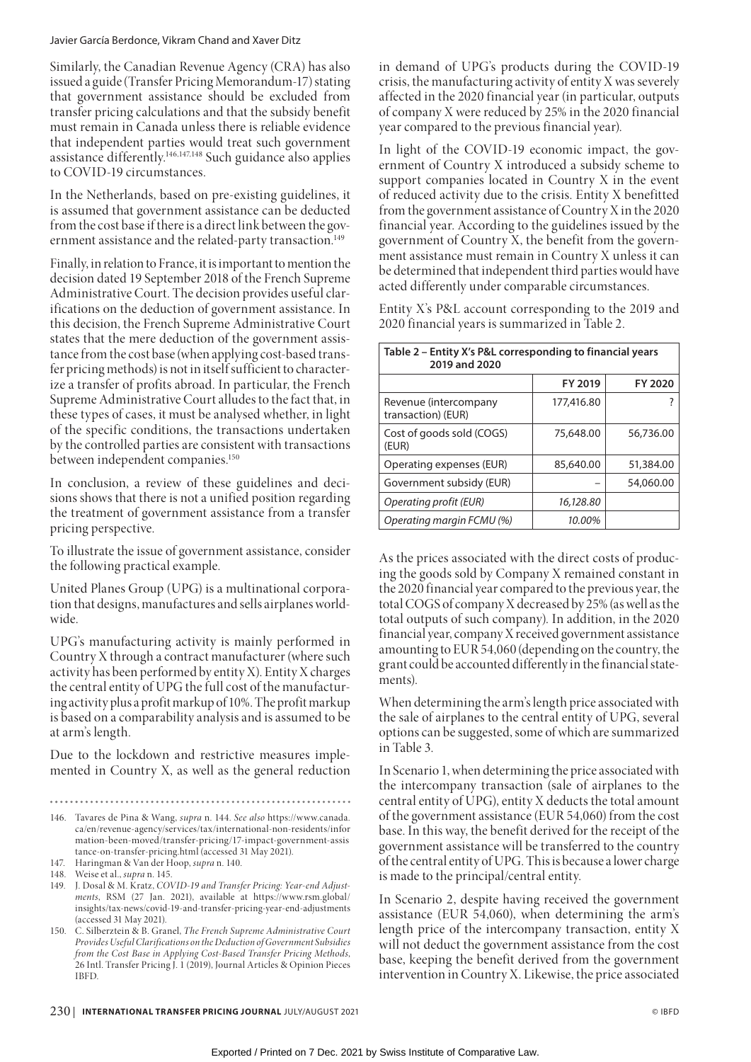Similarly, the Canadian Revenue Agency (CRA) has also issued a guide (Transfer Pricing Memorandum-17) stating that government assistance should be excluded from transfer pricing calculations and that the subsidy benefit must remain in Canada unless there is reliable evidence that independent parties would treat such government assistance differently.146,147,148 Such guidance also applies to COVID-19 circumstances.

In the Netherlands, based on pre-existing guidelines, it is assumed that government assistance can be deducted from the cost base if there is a direct link between the government assistance and the related-party transaction.<sup>149</sup>

Finally, in relation to France, it is important to mention the decision dated 19 September 2018 of the French Supreme Administrative Court. The decision provides useful clarifications on the deduction of government assistance. In this decision, the French Supreme Administrative Court states that the mere deduction of the government assistance from the cost base (when applying cost-based transfer pricing methods) is not in itself sufficient to characterize a transfer of profits abroad. In particular, the French Supreme Administrative Court alludes to the fact that, in these types of cases, it must be analysed whether, in light of the specific conditions, the transactions undertaken by the controlled parties are consistent with transactions between independent companies.<sup>150</sup>

In conclusion, a review of these guidelines and decisions shows that there is not a unified position regarding the treatment of government assistance from a transfer pricing perspective.

To illustrate the issue of government assistance, consider the following practical example.

United Planes Group (UPG) is a multinational corporation that designs, manufactures and sells airplanes worldwide.

UPG's manufacturing activity is mainly performed in Country X through a contract manufacturer (where such activity has been performed by entity X). Entity X charges the central entity of UPG the full cost of the manufacturing activity plus a profit markup of 10%. The profit markup is based on a comparability analysis and is assumed to be at arm's length.

Due to the lockdown and restrictive measures implemented in Country X, as well as the general reduction

- 146. Tavares de Pina & Wang, *supra* n. 144. *See also* https://www.canada. ca/en/revenue-agency/services/tax/international-non-residents/infor mation-been-moved/transfer-pricing/17-impact-government-assis tance-on-transfer-pricing.html (accessed 31 May 2021).
- 147. Haringman & Van der Hoop, *supra* n. 140.

148. Weise et al., *supra* n. 145.

- 149. J. Dosal & M. Kratz, *COVID-19 and Transfer Pricing: Year-end Adjustments*, RSM (27 Jan. 2021), available at https://www.rsm.global/ insights/tax-news/covid-19-and-transfer-pricing-year-end-adjustments (accessed 31 May 2021).
- 150. C. Silberztein & B. Granel, *The French Supreme Administrative Court Provides Useful Clarifications on the Deduction of Government Subsidies from the Cost Base in Applying Cost-Based Transfer Pricing Methods*, 26 Intl. Transfer Pricing J. 1 (2019), Journal Articles & Opinion Pieces IBFD.

in demand of UPG's products during the COVID-19 crisis, the manufacturing activity of entity X was severely affected in the 2020 financial year (in particular, outputs of company X were reduced by 25% in the 2020 financial year compared to the previous financial year).

In light of the COVID-19 economic impact, the government of Country X introduced a subsidy scheme to support companies located in Country X in the event of reduced activity due to the crisis. Entity X benefitted from the government assistance of Country X in the 2020 financial year. According to the guidelines issued by the government of Country X, the benefit from the government assistance must remain in Country X unless it can be determined that independent third parties would have acted differently under comparable circumstances.

Entity X's P&L account corresponding to the 2019 and 2020 financial years is summarized in Table 2.

| Table 2 – Entity X's P&L corresponding to financial years<br>2019 and 2020 |            |           |  |  |  |
|----------------------------------------------------------------------------|------------|-----------|--|--|--|
|                                                                            | FY 2019    | FY 2020   |  |  |  |
| Revenue (intercompany<br>transaction) (EUR)                                | 177,416.80 |           |  |  |  |
| Cost of goods sold (COGS)<br>(EUR)                                         | 75,648.00  | 56,736.00 |  |  |  |
| Operating expenses (EUR)                                                   | 85,640.00  | 51,384.00 |  |  |  |
| Government subsidy (EUR)                                                   |            | 54,060.00 |  |  |  |
| Operating profit (EUR)                                                     | 16,128.80  |           |  |  |  |
| Operating margin FCMU (%)                                                  | 10.00%     |           |  |  |  |

As the prices associated with the direct costs of producing the goods sold by Company X remained constant in the 2020 financial year compared to the previous year, the total COGS of company X decreased by 25% (as well as the total outputs of such company). In addition, in the 2020 financial year, company X received government assistance amounting to EUR 54,060 (depending on the country, the grant could be accounted differently in the financial statements).

When determining the arm's length price associated with the sale of airplanes to the central entity of UPG, several options can be suggested, some of which are summarized in Table 3.

In Scenario 1, when determining the price associated with the intercompany transaction (sale of airplanes to the central entity of UPG), entity X deducts the total amount of the government assistance (EUR 54,060) from the cost base. In this way, the benefit derived for the receipt of the government assistance will be transferred to the country of the central entity of UPG. This is because a lower charge is made to the principal/central entity.

In Scenario 2, despite having received the government assistance (EUR 54,060), when determining the arm's length price of the intercompany transaction, entity X will not deduct the government assistance from the cost base, keeping the benefit derived from the government intervention in Country X. Likewise, the price associated